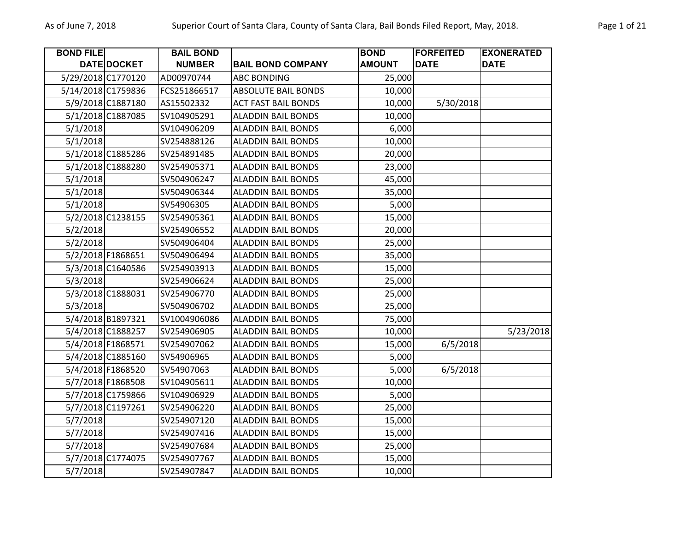| <b>BOND FILE</b> |                    | <b>BAIL BOND</b> |                            | <b>BOND</b>   | <b>FORFEITED</b> | <b>EXONERATED</b> |
|------------------|--------------------|------------------|----------------------------|---------------|------------------|-------------------|
|                  | DATE DOCKET        | <b>NUMBER</b>    | <b>BAIL BOND COMPANY</b>   | <b>AMOUNT</b> | <b>DATE</b>      | <b>DATE</b>       |
|                  | 5/29/2018 C1770120 | AD00970744       | <b>ABC BONDING</b>         | 25,000        |                  |                   |
|                  | 5/14/2018 C1759836 | FCS251866517     | <b>ABSOLUTE BAIL BONDS</b> | 10,000        |                  |                   |
|                  | 5/9/2018 C1887180  | AS15502332       | <b>ACT FAST BAIL BONDS</b> | 10,000        | 5/30/2018        |                   |
|                  | 5/1/2018 C1887085  | SV104905291      | <b>ALADDIN BAIL BONDS</b>  | 10,000        |                  |                   |
| 5/1/2018         |                    | SV104906209      | <b>ALADDIN BAIL BONDS</b>  | 6,000         |                  |                   |
| 5/1/2018         |                    | SV254888126      | <b>ALADDIN BAIL BONDS</b>  | 10,000        |                  |                   |
|                  | 5/1/2018 C1885286  | SV254891485      | <b>ALADDIN BAIL BONDS</b>  | 20,000        |                  |                   |
|                  | 5/1/2018 C1888280  | SV254905371      | <b>ALADDIN BAIL BONDS</b>  | 23,000        |                  |                   |
| 5/1/2018         |                    | SV504906247      | <b>ALADDIN BAIL BONDS</b>  | 45,000        |                  |                   |
| 5/1/2018         |                    | SV504906344      | <b>ALADDIN BAIL BONDS</b>  | 35,000        |                  |                   |
| 5/1/2018         |                    | SV54906305       | <b>ALADDIN BAIL BONDS</b>  | 5,000         |                  |                   |
|                  | 5/2/2018 C1238155  | SV254905361      | <b>ALADDIN BAIL BONDS</b>  | 15,000        |                  |                   |
| 5/2/2018         |                    | SV254906552      | <b>ALADDIN BAIL BONDS</b>  | 20,000        |                  |                   |
| 5/2/2018         |                    | SV504906404      | <b>ALADDIN BAIL BONDS</b>  | 25,000        |                  |                   |
|                  | 5/2/2018 F1868651  | SV504906494      | <b>ALADDIN BAIL BONDS</b>  | 35,000        |                  |                   |
|                  | 5/3/2018 C1640586  | SV254903913      | <b>ALADDIN BAIL BONDS</b>  | 15,000        |                  |                   |
| 5/3/2018         |                    | SV254906624      | <b>ALADDIN BAIL BONDS</b>  | 25,000        |                  |                   |
|                  | 5/3/2018 C1888031  | SV254906770      | <b>ALADDIN BAIL BONDS</b>  | 25,000        |                  |                   |
| 5/3/2018         |                    | SV504906702      | <b>ALADDIN BAIL BONDS</b>  | 25,000        |                  |                   |
|                  | 5/4/2018 B1897321  | SV1004906086     | <b>ALADDIN BAIL BONDS</b>  | 75,000        |                  |                   |
|                  | 5/4/2018 C1888257  | SV254906905      | <b>ALADDIN BAIL BONDS</b>  | 10,000        |                  | 5/23/2018         |
|                  | 5/4/2018 F1868571  | SV254907062      | <b>ALADDIN BAIL BONDS</b>  | 15,000        | 6/5/2018         |                   |
|                  | 5/4/2018 C1885160  | SV54906965       | <b>ALADDIN BAIL BONDS</b>  | 5,000         |                  |                   |
|                  | 5/4/2018 F1868520  | SV54907063       | <b>ALADDIN BAIL BONDS</b>  | 5,000         | 6/5/2018         |                   |
|                  | 5/7/2018 F1868508  | SV104905611      | <b>ALADDIN BAIL BONDS</b>  | 10,000        |                  |                   |
|                  | 5/7/2018 C1759866  | SV104906929      | <b>ALADDIN BAIL BONDS</b>  | 5,000         |                  |                   |
|                  | 5/7/2018 C1197261  | SV254906220      | <b>ALADDIN BAIL BONDS</b>  | 25,000        |                  |                   |
| 5/7/2018         |                    | SV254907120      | <b>ALADDIN BAIL BONDS</b>  | 15,000        |                  |                   |
| 5/7/2018         |                    | SV254907416      | <b>ALADDIN BAIL BONDS</b>  | 15,000        |                  |                   |
| 5/7/2018         |                    | SV254907684      | <b>ALADDIN BAIL BONDS</b>  | 25,000        |                  |                   |
|                  | 5/7/2018 C1774075  | SV254907767      | <b>ALADDIN BAIL BONDS</b>  | 15,000        |                  |                   |
| 5/7/2018         |                    | SV254907847      | <b>ALADDIN BAIL BONDS</b>  | 10,000        |                  |                   |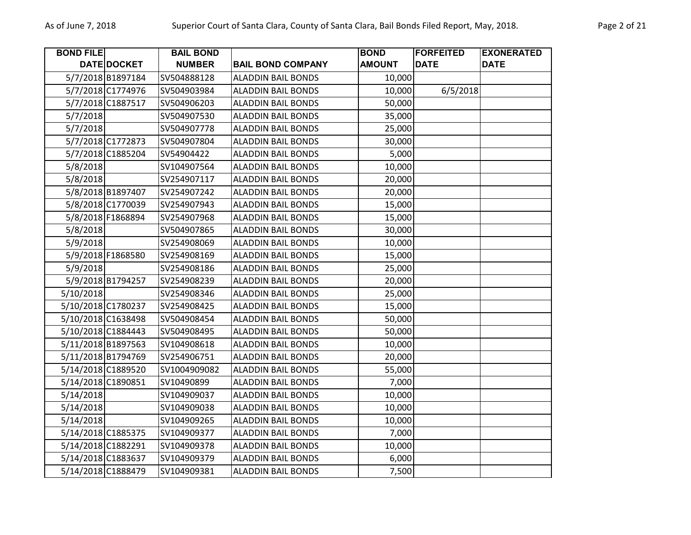| <b>BOND FILE</b>   |                    | <b>BAIL BOND</b> |                           | <b>BOND</b>   | <b>FORFEITED</b> | <b>EXONERATED</b> |
|--------------------|--------------------|------------------|---------------------------|---------------|------------------|-------------------|
|                    | DATE DOCKET        | <b>NUMBER</b>    | <b>BAIL BOND COMPANY</b>  | <b>AMOUNT</b> | <b>DATE</b>      | <b>DATE</b>       |
|                    | 5/7/2018 B1897184  | SV504888128      | <b>ALADDIN BAIL BONDS</b> | 10,000        |                  |                   |
|                    | 5/7/2018 C1774976  | SV504903984      | <b>ALADDIN BAIL BONDS</b> | 10,000        | 6/5/2018         |                   |
|                    | 5/7/2018 C1887517  | SV504906203      | <b>ALADDIN BAIL BONDS</b> | 50,000        |                  |                   |
| 5/7/2018           |                    | SV504907530      | <b>ALADDIN BAIL BONDS</b> | 35,000        |                  |                   |
| 5/7/2018           |                    | SV504907778      | <b>ALADDIN BAIL BONDS</b> | 25,000        |                  |                   |
|                    | 5/7/2018 C1772873  | SV504907804      | <b>ALADDIN BAIL BONDS</b> | 30,000        |                  |                   |
|                    | 5/7/2018 C1885204  | SV54904422       | <b>ALADDIN BAIL BONDS</b> | 5,000         |                  |                   |
| 5/8/2018           |                    | SV104907564      | <b>ALADDIN BAIL BONDS</b> | 10,000        |                  |                   |
| 5/8/2018           |                    | SV254907117      | <b>ALADDIN BAIL BONDS</b> | 20,000        |                  |                   |
|                    | 5/8/2018 B1897407  | SV254907242      | <b>ALADDIN BAIL BONDS</b> | 20,000        |                  |                   |
|                    | 5/8/2018 C1770039  | SV254907943      | <b>ALADDIN BAIL BONDS</b> | 15,000        |                  |                   |
|                    | 5/8/2018 F1868894  | SV254907968      | <b>ALADDIN BAIL BONDS</b> | 15,000        |                  |                   |
| 5/8/2018           |                    | SV504907865      | <b>ALADDIN BAIL BONDS</b> | 30,000        |                  |                   |
| 5/9/2018           |                    | SV254908069      | <b>ALADDIN BAIL BONDS</b> | 10,000        |                  |                   |
|                    | 5/9/2018 F1868580  | SV254908169      | <b>ALADDIN BAIL BONDS</b> | 15,000        |                  |                   |
| 5/9/2018           |                    | SV254908186      | <b>ALADDIN BAIL BONDS</b> | 25,000        |                  |                   |
|                    | 5/9/2018 B1794257  | SV254908239      | <b>ALADDIN BAIL BONDS</b> | 20,000        |                  |                   |
| 5/10/2018          |                    | SV254908346      | <b>ALADDIN BAIL BONDS</b> | 25,000        |                  |                   |
|                    | 5/10/2018 C1780237 | SV254908425      | <b>ALADDIN BAIL BONDS</b> | 15,000        |                  |                   |
|                    | 5/10/2018 C1638498 | SV504908454      | <b>ALADDIN BAIL BONDS</b> | 50,000        |                  |                   |
|                    | 5/10/2018 C1884443 | SV504908495      | <b>ALADDIN BAIL BONDS</b> | 50,000        |                  |                   |
|                    | 5/11/2018 B1897563 | SV104908618      | <b>ALADDIN BAIL BONDS</b> | 10,000        |                  |                   |
| 5/11/2018 B1794769 |                    | SV254906751      | <b>ALADDIN BAIL BONDS</b> | 20,000        |                  |                   |
|                    | 5/14/2018 C1889520 | SV1004909082     | <b>ALADDIN BAIL BONDS</b> | 55,000        |                  |                   |
| 5/14/2018 C1890851 |                    | SV10490899       | <b>ALADDIN BAIL BONDS</b> | 7,000         |                  |                   |
| 5/14/2018          |                    | SV104909037      | <b>ALADDIN BAIL BONDS</b> | 10,000        |                  |                   |
| 5/14/2018          |                    | SV104909038      | <b>ALADDIN BAIL BONDS</b> | 10,000        |                  |                   |
| 5/14/2018          |                    | SV104909265      | <b>ALADDIN BAIL BONDS</b> | 10,000        |                  |                   |
|                    | 5/14/2018 C1885375 | SV104909377      | <b>ALADDIN BAIL BONDS</b> | 7,000         |                  |                   |
| 5/14/2018 C1882291 |                    | SV104909378      | <b>ALADDIN BAIL BONDS</b> | 10,000        |                  |                   |
|                    | 5/14/2018 C1883637 | SV104909379      | <b>ALADDIN BAIL BONDS</b> | 6,000         |                  |                   |
|                    | 5/14/2018 C1888479 | SV104909381      | <b>ALADDIN BAIL BONDS</b> | 7,500         |                  |                   |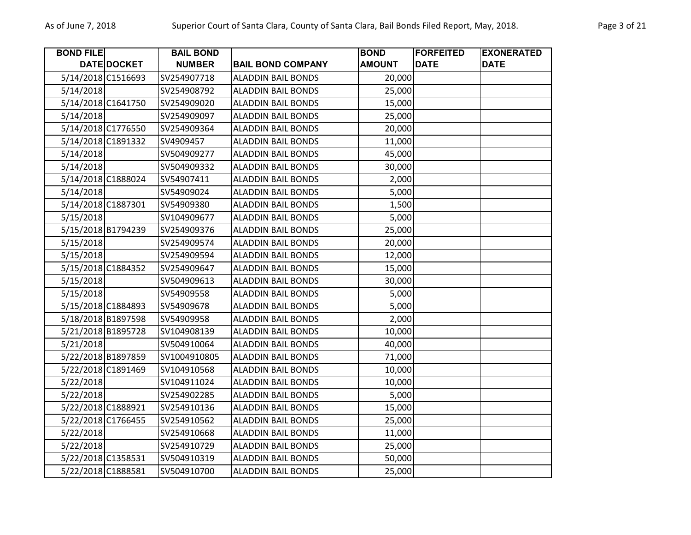| <b>BOND FILE</b>   |             | <b>BAIL BOND</b> |                           | <b>BOND</b>   | <b>FORFEITED</b> | <b>EXONERATED</b> |
|--------------------|-------------|------------------|---------------------------|---------------|------------------|-------------------|
|                    | DATE DOCKET | <b>NUMBER</b>    | <b>BAIL BOND COMPANY</b>  | <b>AMOUNT</b> | <b>DATE</b>      | <b>DATE</b>       |
| 5/14/2018 C1516693 |             | SV254907718      | <b>ALADDIN BAIL BONDS</b> | 20,000        |                  |                   |
| 5/14/2018          |             | SV254908792      | <b>ALADDIN BAIL BONDS</b> | 25,000        |                  |                   |
| 5/14/2018 C1641750 |             | SV254909020      | <b>ALADDIN BAIL BONDS</b> | 15,000        |                  |                   |
| 5/14/2018          |             | SV254909097      | <b>ALADDIN BAIL BONDS</b> | 25,000        |                  |                   |
| 5/14/2018 C1776550 |             | SV254909364      | <b>ALADDIN BAIL BONDS</b> | 20,000        |                  |                   |
| 5/14/2018 C1891332 |             | SV4909457        | <b>ALADDIN BAIL BONDS</b> | 11,000        |                  |                   |
| 5/14/2018          |             | SV504909277      | <b>ALADDIN BAIL BONDS</b> | 45,000        |                  |                   |
| 5/14/2018          |             | SV504909332      | <b>ALADDIN BAIL BONDS</b> | 30,000        |                  |                   |
| 5/14/2018 C1888024 |             | SV54907411       | <b>ALADDIN BAIL BONDS</b> | 2,000         |                  |                   |
| 5/14/2018          |             | SV54909024       | <b>ALADDIN BAIL BONDS</b> | 5,000         |                  |                   |
| 5/14/2018 C1887301 |             | SV54909380       | <b>ALADDIN BAIL BONDS</b> | 1,500         |                  |                   |
| 5/15/2018          |             | SV104909677      | <b>ALADDIN BAIL BONDS</b> | 5,000         |                  |                   |
| 5/15/2018 B1794239 |             | SV254909376      | <b>ALADDIN BAIL BONDS</b> | 25,000        |                  |                   |
| 5/15/2018          |             | SV254909574      | <b>ALADDIN BAIL BONDS</b> | 20,000        |                  |                   |
| 5/15/2018          |             | SV254909594      | <b>ALADDIN BAIL BONDS</b> | 12,000        |                  |                   |
| 5/15/2018 C1884352 |             | SV254909647      | <b>ALADDIN BAIL BONDS</b> | 15,000        |                  |                   |
| 5/15/2018          |             | SV504909613      | <b>ALADDIN BAIL BONDS</b> | 30,000        |                  |                   |
| 5/15/2018          |             | SV54909558       | <b>ALADDIN BAIL BONDS</b> | 5,000         |                  |                   |
| 5/15/2018 C1884893 |             | SV54909678       | <b>ALADDIN BAIL BONDS</b> | 5,000         |                  |                   |
| 5/18/2018 B1897598 |             | SV54909958       | <b>ALADDIN BAIL BONDS</b> | 2,000         |                  |                   |
| 5/21/2018 B1895728 |             | SV104908139      | <b>ALADDIN BAIL BONDS</b> | 10,000        |                  |                   |
| 5/21/2018          |             | SV504910064      | <b>ALADDIN BAIL BONDS</b> | 40,000        |                  |                   |
| 5/22/2018 B1897859 |             | SV1004910805     | <b>ALADDIN BAIL BONDS</b> | 71,000        |                  |                   |
| 5/22/2018 C1891469 |             | SV104910568      | <b>ALADDIN BAIL BONDS</b> | 10,000        |                  |                   |
| 5/22/2018          |             | SV104911024      | <b>ALADDIN BAIL BONDS</b> | 10,000        |                  |                   |
| 5/22/2018          |             | SV254902285      | <b>ALADDIN BAIL BONDS</b> | 5,000         |                  |                   |
| 5/22/2018 C1888921 |             | SV254910136      | <b>ALADDIN BAIL BONDS</b> | 15,000        |                  |                   |
| 5/22/2018 C1766455 |             | SV254910562      | <b>ALADDIN BAIL BONDS</b> | 25,000        |                  |                   |
| 5/22/2018          |             | SV254910668      | <b>ALADDIN BAIL BONDS</b> | 11,000        |                  |                   |
| 5/22/2018          |             | SV254910729      | <b>ALADDIN BAIL BONDS</b> | 25,000        |                  |                   |
| 5/22/2018 C1358531 |             | SV504910319      | <b>ALADDIN BAIL BONDS</b> | 50,000        |                  |                   |
| 5/22/2018 C1888581 |             | SV504910700      | <b>ALADDIN BAIL BONDS</b> | 25,000        |                  |                   |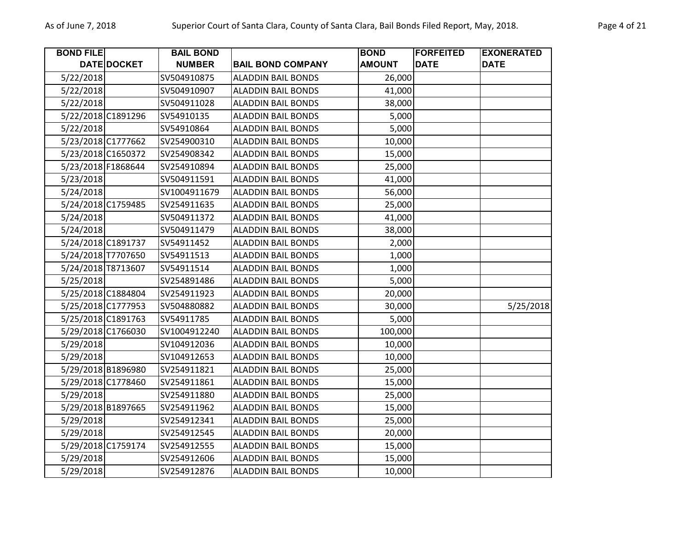| <b>BOND FILE</b>   |                    | <b>BAIL BOND</b> |                           | <b>BOND</b>   | <b>FORFEITED</b> | <b>EXONERATED</b> |
|--------------------|--------------------|------------------|---------------------------|---------------|------------------|-------------------|
|                    | <b>DATE DOCKET</b> | <b>NUMBER</b>    | <b>BAIL BOND COMPANY</b>  | <b>AMOUNT</b> | <b>DATE</b>      | <b>DATE</b>       |
| 5/22/2018          |                    | SV504910875      | <b>ALADDIN BAIL BONDS</b> | 26,000        |                  |                   |
| 5/22/2018          |                    | SV504910907      | <b>ALADDIN BAIL BONDS</b> | 41,000        |                  |                   |
| 5/22/2018          |                    | SV504911028      | <b>ALADDIN BAIL BONDS</b> | 38,000        |                  |                   |
| 5/22/2018 C1891296 |                    | SV54910135       | <b>ALADDIN BAIL BONDS</b> | 5,000         |                  |                   |
| 5/22/2018          |                    | SV54910864       | <b>ALADDIN BAIL BONDS</b> | 5,000         |                  |                   |
| 5/23/2018 C1777662 |                    | SV254900310      | <b>ALADDIN BAIL BONDS</b> | 10,000        |                  |                   |
| 5/23/2018 C1650372 |                    | SV254908342      | <b>ALADDIN BAIL BONDS</b> | 15,000        |                  |                   |
| 5/23/2018 F1868644 |                    | SV254910894      | <b>ALADDIN BAIL BONDS</b> | 25,000        |                  |                   |
| 5/23/2018          |                    | SV504911591      | <b>ALADDIN BAIL BONDS</b> | 41,000        |                  |                   |
| 5/24/2018          |                    | SV1004911679     | <b>ALADDIN BAIL BONDS</b> | 56,000        |                  |                   |
| 5/24/2018 C1759485 |                    | SV254911635      | <b>ALADDIN BAIL BONDS</b> | 25,000        |                  |                   |
| 5/24/2018          |                    | SV504911372      | <b>ALADDIN BAIL BONDS</b> | 41,000        |                  |                   |
| 5/24/2018          |                    | SV504911479      | <b>ALADDIN BAIL BONDS</b> | 38,000        |                  |                   |
| 5/24/2018 C1891737 |                    | SV54911452       | <b>ALADDIN BAIL BONDS</b> | 2,000         |                  |                   |
| 5/24/2018 T7707650 |                    | SV54911513       | <b>ALADDIN BAIL BONDS</b> | 1,000         |                  |                   |
| 5/24/2018 T8713607 |                    | SV54911514       | <b>ALADDIN BAIL BONDS</b> | 1,000         |                  |                   |
| 5/25/2018          |                    | SV254891486      | <b>ALADDIN BAIL BONDS</b> | 5,000         |                  |                   |
| 5/25/2018 C1884804 |                    | SV254911923      | <b>ALADDIN BAIL BONDS</b> | 20,000        |                  |                   |
| 5/25/2018 C1777953 |                    | SV504880882      | <b>ALADDIN BAIL BONDS</b> | 30,000        |                  | 5/25/2018         |
| 5/25/2018 C1891763 |                    | SV54911785       | <b>ALADDIN BAIL BONDS</b> | 5,000         |                  |                   |
| 5/29/2018 C1766030 |                    | SV1004912240     | <b>ALADDIN BAIL BONDS</b> | 100,000       |                  |                   |
| 5/29/2018          |                    | SV104912036      | <b>ALADDIN BAIL BONDS</b> | 10,000        |                  |                   |
| 5/29/2018          |                    | SV104912653      | <b>ALADDIN BAIL BONDS</b> | 10,000        |                  |                   |
| 5/29/2018 B1896980 |                    | SV254911821      | <b>ALADDIN BAIL BONDS</b> | 25,000        |                  |                   |
| 5/29/2018 C1778460 |                    | SV254911861      | <b>ALADDIN BAIL BONDS</b> | 15,000        |                  |                   |
| 5/29/2018          |                    | SV254911880      | <b>ALADDIN BAIL BONDS</b> | 25,000        |                  |                   |
| 5/29/2018 B1897665 |                    | SV254911962      | <b>ALADDIN BAIL BONDS</b> | 15,000        |                  |                   |
| 5/29/2018          |                    | SV254912341      | <b>ALADDIN BAIL BONDS</b> | 25,000        |                  |                   |
| 5/29/2018          |                    | SV254912545      | <b>ALADDIN BAIL BONDS</b> | 20,000        |                  |                   |
| 5/29/2018 C1759174 |                    | SV254912555      | <b>ALADDIN BAIL BONDS</b> | 15,000        |                  |                   |
| 5/29/2018          |                    | SV254912606      | <b>ALADDIN BAIL BONDS</b> | 15,000        |                  |                   |

5/29/2018 SV254912876 ALADDIN BAIL BONDS 10,000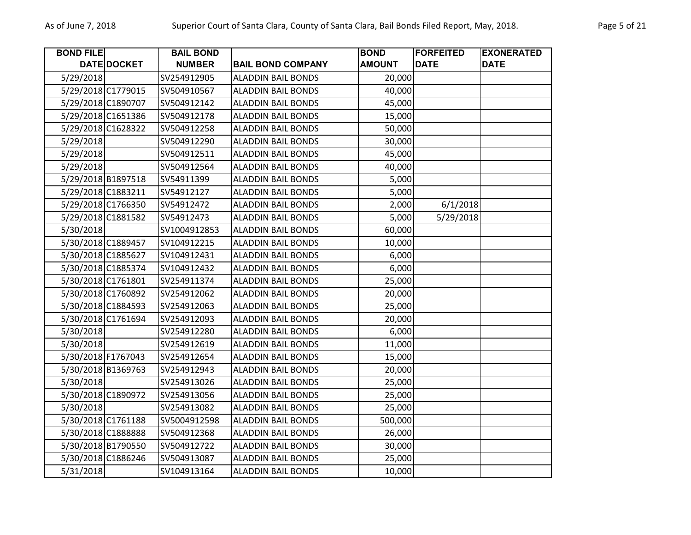| <b>BOND FILE</b>   |                    | <b>BAIL BOND</b> |                           | <b>BOND</b>   | <b>FORFEITED</b> | <b>EXONERATED</b> |
|--------------------|--------------------|------------------|---------------------------|---------------|------------------|-------------------|
|                    | <b>DATE DOCKET</b> | <b>NUMBER</b>    | <b>BAIL BOND COMPANY</b>  | <b>AMOUNT</b> | <b>DATE</b>      | <b>DATE</b>       |
| 5/29/2018          |                    | SV254912905      | <b>ALADDIN BAIL BONDS</b> | 20,000        |                  |                   |
| 5/29/2018 C1779015 |                    | SV504910567      | <b>ALADDIN BAIL BONDS</b> | 40,000        |                  |                   |
| 5/29/2018 C1890707 |                    | SV504912142      | <b>ALADDIN BAIL BONDS</b> | 45,000        |                  |                   |
| 5/29/2018 C1651386 |                    | SV504912178      | <b>ALADDIN BAIL BONDS</b> | 15,000        |                  |                   |
| 5/29/2018 C1628322 |                    | SV504912258      | <b>ALADDIN BAIL BONDS</b> | 50,000        |                  |                   |
| 5/29/2018          |                    | SV504912290      | <b>ALADDIN BAIL BONDS</b> | 30,000        |                  |                   |
| 5/29/2018          |                    | SV504912511      | <b>ALADDIN BAIL BONDS</b> | 45,000        |                  |                   |
| 5/29/2018          |                    | SV504912564      | <b>ALADDIN BAIL BONDS</b> | 40,000        |                  |                   |
| 5/29/2018 B1897518 |                    | SV54911399       | <b>ALADDIN BAIL BONDS</b> | 5,000         |                  |                   |
| 5/29/2018 C1883211 |                    | SV54912127       | <b>ALADDIN BAIL BONDS</b> | 5,000         |                  |                   |
| 5/29/2018 C1766350 |                    | SV54912472       | <b>ALADDIN BAIL BONDS</b> | 2,000         | 6/1/2018         |                   |
| 5/29/2018 C1881582 |                    | SV54912473       | <b>ALADDIN BAIL BONDS</b> | 5,000         | 5/29/2018        |                   |
| 5/30/2018          |                    | SV1004912853     | <b>ALADDIN BAIL BONDS</b> | 60,000        |                  |                   |
| 5/30/2018 C1889457 |                    | SV104912215      | <b>ALADDIN BAIL BONDS</b> | 10,000        |                  |                   |
| 5/30/2018 C1885627 |                    | SV104912431      | <b>ALADDIN BAIL BONDS</b> | 6,000         |                  |                   |
| 5/30/2018 C1885374 |                    | SV104912432      | <b>ALADDIN BAIL BONDS</b> | 6,000         |                  |                   |
| 5/30/2018 C1761801 |                    | SV254911374      | <b>ALADDIN BAIL BONDS</b> | 25,000        |                  |                   |
| 5/30/2018 C1760892 |                    | SV254912062      | <b>ALADDIN BAIL BONDS</b> | 20,000        |                  |                   |
| 5/30/2018 C1884593 |                    | SV254912063      | <b>ALADDIN BAIL BONDS</b> | 25,000        |                  |                   |
| 5/30/2018 C1761694 |                    | SV254912093      | <b>ALADDIN BAIL BONDS</b> | 20,000        |                  |                   |
| 5/30/2018          |                    | SV254912280      | <b>ALADDIN BAIL BONDS</b> | 6,000         |                  |                   |
| 5/30/2018          |                    | SV254912619      | <b>ALADDIN BAIL BONDS</b> | 11,000        |                  |                   |
| 5/30/2018 F1767043 |                    | SV254912654      | <b>ALADDIN BAIL BONDS</b> | 15,000        |                  |                   |
| 5/30/2018 B1369763 |                    | SV254912943      | <b>ALADDIN BAIL BONDS</b> | 20,000        |                  |                   |
| 5/30/2018          |                    | SV254913026      | <b>ALADDIN BAIL BONDS</b> | 25,000        |                  |                   |
| 5/30/2018 C1890972 |                    | SV254913056      | <b>ALADDIN BAIL BONDS</b> | 25,000        |                  |                   |
| 5/30/2018          |                    | SV254913082      | <b>ALADDIN BAIL BONDS</b> | 25,000        |                  |                   |
| 5/30/2018 C1761188 |                    | SV5004912598     | <b>ALADDIN BAIL BONDS</b> | 500,000       |                  |                   |
| 5/30/2018 C1888888 |                    | SV504912368      | <b>ALADDIN BAIL BONDS</b> | 26,000        |                  |                   |
| 5/30/2018 B1790550 |                    | SV504912722      | <b>ALADDIN BAIL BONDS</b> | 30,000        |                  |                   |
| 5/30/2018 C1886246 |                    | SV504913087      | <b>ALADDIN BAIL BONDS</b> | 25,000        |                  |                   |
| 5/31/2018          |                    | SV104913164      | <b>ALADDIN BAIL BONDS</b> | 10,000        |                  |                   |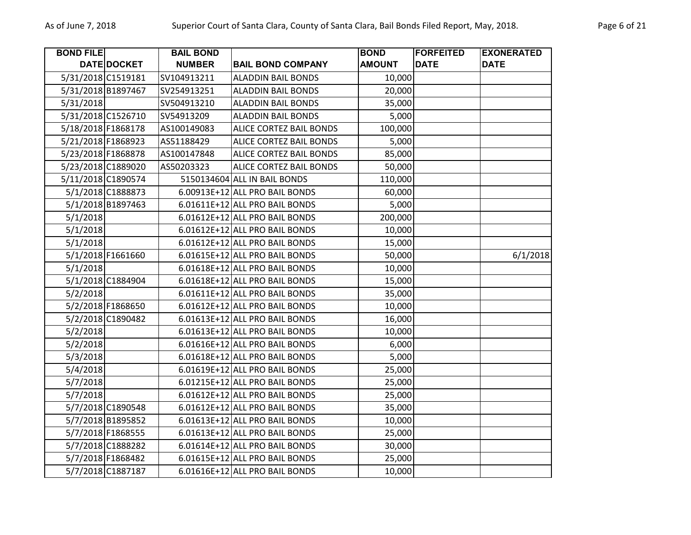| <b>BOND FILE</b>   |                   | <b>BAIL BOND</b> |                                | <b>BOND</b>   | <b>FORFEITED</b> | <b>EXONERATED</b> |
|--------------------|-------------------|------------------|--------------------------------|---------------|------------------|-------------------|
|                    | DATE DOCKET       | <b>NUMBER</b>    | <b>BAIL BOND COMPANY</b>       | <b>AMOUNT</b> | <b>DATE</b>      | <b>DATE</b>       |
| 5/31/2018 C1519181 |                   | SV104913211      | <b>ALADDIN BAIL BONDS</b>      | 10,000        |                  |                   |
| 5/31/2018 B1897467 |                   | SV254913251      | <b>ALADDIN BAIL BONDS</b>      | 20,000        |                  |                   |
| 5/31/2018          |                   | SV504913210      | <b>ALADDIN BAIL BONDS</b>      | 35,000        |                  |                   |
| 5/31/2018 C1526710 |                   | SV54913209       | <b>ALADDIN BAIL BONDS</b>      | 5,000         |                  |                   |
| 5/18/2018 F1868178 |                   | AS100149083      | <b>ALICE CORTEZ BAIL BONDS</b> | 100,000       |                  |                   |
| 5/21/2018 F1868923 |                   | AS51188429       | ALICE CORTEZ BAIL BONDS        | 5,000         |                  |                   |
| 5/23/2018 F1868878 |                   | AS100147848      | <b>ALICE CORTEZ BAIL BONDS</b> | 85,000        |                  |                   |
| 5/23/2018 C1889020 |                   | AS50203323       | <b>ALICE CORTEZ BAIL BONDS</b> | 50,000        |                  |                   |
| 5/11/2018 C1890574 |                   |                  | 5150134604 ALL IN BAIL BONDS   | 110,000       |                  |                   |
|                    | 5/1/2018 C1888873 |                  | 6.00913E+12 ALL PRO BAIL BONDS | 60,000        |                  |                   |
|                    | 5/1/2018 B1897463 |                  | 6.01611E+12 ALL PRO BAIL BONDS | 5,000         |                  |                   |
| 5/1/2018           |                   |                  | 6.01612E+12 ALL PRO BAIL BONDS | 200,000       |                  |                   |
| 5/1/2018           |                   |                  | 6.01612E+12 ALL PRO BAIL BONDS | 10,000        |                  |                   |
| 5/1/2018           |                   |                  | 6.01612E+12 ALL PRO BAIL BONDS | 15,000        |                  |                   |
|                    | 5/1/2018 F1661660 |                  | 6.01615E+12 ALL PRO BAIL BONDS | 50,000        |                  | 6/1/2018          |
| 5/1/2018           |                   |                  | 6.01618E+12 ALL PRO BAIL BONDS | 10,000        |                  |                   |
|                    | 5/1/2018 C1884904 |                  | 6.01618E+12 ALL PRO BAIL BONDS | 15,000        |                  |                   |
| 5/2/2018           |                   |                  | 6.01611E+12 ALL PRO BAIL BONDS | 35,000        |                  |                   |
|                    | 5/2/2018 F1868650 |                  | 6.01612E+12 ALL PRO BAIL BONDS | 10,000        |                  |                   |
|                    | 5/2/2018 C1890482 |                  | 6.01613E+12 ALL PRO BAIL BONDS | 16,000        |                  |                   |
| 5/2/2018           |                   |                  | 6.01613E+12 ALL PRO BAIL BONDS | 10,000        |                  |                   |
| 5/2/2018           |                   |                  | 6.01616E+12 ALL PRO BAIL BONDS | 6,000         |                  |                   |
| 5/3/2018           |                   |                  | 6.01618E+12 ALL PRO BAIL BONDS | 5,000         |                  |                   |
| 5/4/2018           |                   |                  | 6.01619E+12 ALL PRO BAIL BONDS | 25,000        |                  |                   |
| 5/7/2018           |                   |                  | 6.01215E+12 ALL PRO BAIL BONDS | 25,000        |                  |                   |
| 5/7/2018           |                   |                  | 6.01612E+12 ALL PRO BAIL BONDS | 25,000        |                  |                   |
|                    | 5/7/2018 C1890548 |                  | 6.01612E+12 ALL PRO BAIL BONDS | 35,000        |                  |                   |
|                    | 5/7/2018 B1895852 |                  | 6.01613E+12 ALL PRO BAIL BONDS | 10,000        |                  |                   |
|                    | 5/7/2018 F1868555 |                  | 6.01613E+12 ALL PRO BAIL BONDS | 25,000        |                  |                   |
|                    | 5/7/2018 C1888282 |                  | 6.01614E+12 ALL PRO BAIL BONDS | 30,000        |                  |                   |
|                    | 5/7/2018 F1868482 |                  | 6.01615E+12 ALL PRO BAIL BONDS | 25,000        |                  |                   |
|                    | 5/7/2018 C1887187 |                  | 6.01616E+12 ALL PRO BAIL BONDS | 10,000        |                  |                   |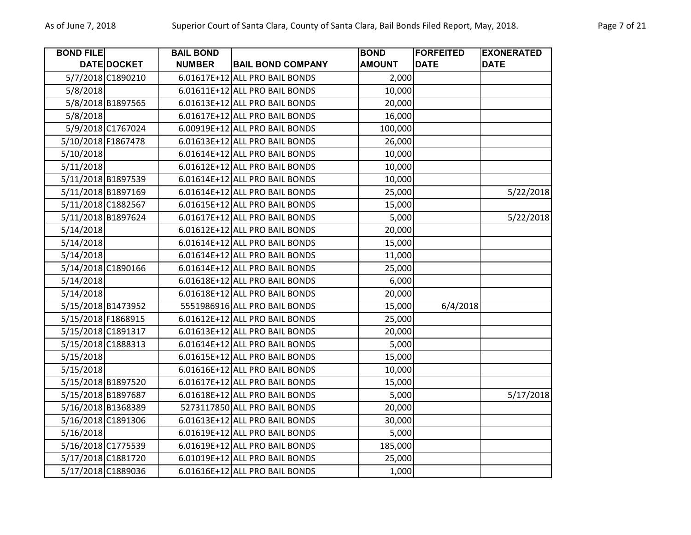| <b>BOND FILE</b>   |                   | <b>BAIL BOND</b> |                                | <b>BOND</b>   | <b>FORFEITED</b> | <b>EXONERATED</b> |
|--------------------|-------------------|------------------|--------------------------------|---------------|------------------|-------------------|
|                    | DATE DOCKET       | <b>NUMBER</b>    | <b>BAIL BOND COMPANY</b>       | <b>AMOUNT</b> | <b>DATE</b>      | <b>DATE</b>       |
|                    | 5/7/2018 C1890210 |                  | 6.01617E+12 ALL PRO BAIL BONDS | 2,000         |                  |                   |
| 5/8/2018           |                   |                  | 6.01611E+12 ALL PRO BAIL BONDS | 10,000        |                  |                   |
|                    | 5/8/2018 B1897565 |                  | 6.01613E+12 ALL PRO BAIL BONDS | 20,000        |                  |                   |
| 5/8/2018           |                   |                  | 6.01617E+12 ALL PRO BAIL BONDS | 16,000        |                  |                   |
|                    | 5/9/2018 C1767024 |                  | 6.00919E+12 ALL PRO BAIL BONDS | 100,000       |                  |                   |
| 5/10/2018 F1867478 |                   |                  | 6.01613E+12 ALL PRO BAIL BONDS | 26,000        |                  |                   |
| 5/10/2018          |                   |                  | 6.01614E+12 ALL PRO BAIL BONDS | 10,000        |                  |                   |
| 5/11/2018          |                   |                  | 6.01612E+12 ALL PRO BAIL BONDS | 10,000        |                  |                   |
| 5/11/2018 B1897539 |                   |                  | 6.01614E+12 ALL PRO BAIL BONDS | 10,000        |                  |                   |
| 5/11/2018 B1897169 |                   |                  | 6.01614E+12 ALL PRO BAIL BONDS | 25,000        |                  | 5/22/2018         |
| 5/11/2018 C1882567 |                   |                  | 6.01615E+12 ALL PRO BAIL BONDS | 15,000        |                  |                   |
| 5/11/2018 B1897624 |                   |                  | 6.01617E+12 ALL PRO BAIL BONDS | 5,000         |                  | 5/22/2018         |
| 5/14/2018          |                   |                  | 6.01612E+12 ALL PRO BAIL BONDS | 20,000        |                  |                   |
| 5/14/2018          |                   |                  | 6.01614E+12 ALL PRO BAIL BONDS | 15,000        |                  |                   |
| 5/14/2018          |                   |                  | 6.01614E+12 ALL PRO BAIL BONDS | 11,000        |                  |                   |
| 5/14/2018 C1890166 |                   |                  | 6.01614E+12 ALL PRO BAIL BONDS | 25,000        |                  |                   |
| 5/14/2018          |                   |                  | 6.01618E+12 ALL PRO BAIL BONDS | 6,000         |                  |                   |
| 5/14/2018          |                   |                  | 6.01618E+12 ALL PRO BAIL BONDS | 20,000        |                  |                   |
| 5/15/2018 B1473952 |                   |                  | 5551986916 ALL PRO BAIL BONDS  | 15,000        | 6/4/2018         |                   |
| 5/15/2018 F1868915 |                   |                  | 6.01612E+12 ALL PRO BAIL BONDS | 25,000        |                  |                   |
| 5/15/2018 C1891317 |                   |                  | 6.01613E+12 ALL PRO BAIL BONDS | 20,000        |                  |                   |
| 5/15/2018 C1888313 |                   |                  | 6.01614E+12 ALL PRO BAIL BONDS | 5,000         |                  |                   |
| 5/15/2018          |                   |                  | 6.01615E+12 ALL PRO BAIL BONDS | 15,000        |                  |                   |
| 5/15/2018          |                   |                  | 6.01616E+12 ALL PRO BAIL BONDS | 10,000        |                  |                   |
| 5/15/2018 B1897520 |                   |                  | 6.01617E+12 ALL PRO BAIL BONDS | 15,000        |                  |                   |
| 5/15/2018 B1897687 |                   |                  | 6.01618E+12 ALL PRO BAIL BONDS | 5,000         |                  | 5/17/2018         |
| 5/16/2018 B1368389 |                   |                  | 5273117850 ALL PRO BAIL BONDS  | 20,000        |                  |                   |
| 5/16/2018 C1891306 |                   |                  | 6.01613E+12 ALL PRO BAIL BONDS | 30,000        |                  |                   |
| 5/16/2018          |                   |                  | 6.01619E+12 ALL PRO BAIL BONDS | 5,000         |                  |                   |
| 5/16/2018 C1775539 |                   |                  | 6.01619E+12 ALL PRO BAIL BONDS | 185,000       |                  |                   |
| 5/17/2018 C1881720 |                   |                  | 6.01019E+12 ALL PRO BAIL BONDS | 25,000        |                  |                   |
| 5/17/2018 C1889036 |                   |                  | 6.01616E+12 ALL PRO BAIL BONDS | 1,000         |                  |                   |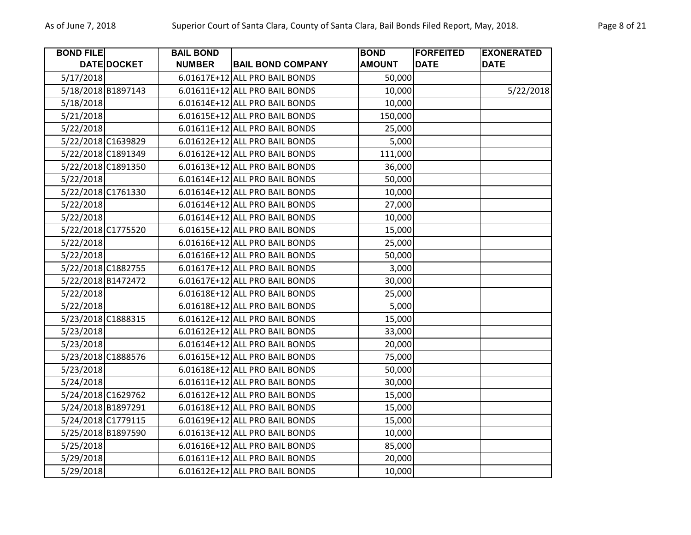| <b>BOND FILE</b> |                    | <b>BAIL BOND</b> |                                | <b>BOND</b>   | <b>FORFEITED</b> | <b>EXONERATED</b> |
|------------------|--------------------|------------------|--------------------------------|---------------|------------------|-------------------|
|                  | DATE DOCKET        | <b>NUMBER</b>    | <b>BAIL BOND COMPANY</b>       | <b>AMOUNT</b> | <b>DATE</b>      | <b>DATE</b>       |
| 5/17/2018        |                    |                  | 6.01617E+12 ALL PRO BAIL BONDS | 50,000        |                  |                   |
|                  | 5/18/2018 B1897143 |                  | 6.01611E+12 ALL PRO BAIL BONDS | 10,000        |                  | 5/22/2018         |
| 5/18/2018        |                    |                  | 6.01614E+12 ALL PRO BAIL BONDS | 10,000        |                  |                   |
| 5/21/2018        |                    |                  | 6.01615E+12 ALL PRO BAIL BONDS | 150,000       |                  |                   |
| 5/22/2018        |                    |                  | 6.01611E+12 ALL PRO BAIL BONDS | 25,000        |                  |                   |
|                  | 5/22/2018 C1639829 |                  | 6.01612E+12 ALL PRO BAIL BONDS | 5,000         |                  |                   |
|                  | 5/22/2018 C1891349 |                  | 6.01612E+12 ALL PRO BAIL BONDS | 111,000       |                  |                   |
|                  | 5/22/2018 C1891350 |                  | 6.01613E+12 ALL PRO BAIL BONDS | 36,000        |                  |                   |
| 5/22/2018        |                    |                  | 6.01614E+12 ALL PRO BAIL BONDS | 50,000        |                  |                   |
|                  | 5/22/2018 C1761330 |                  | 6.01614E+12 ALL PRO BAIL BONDS | 10,000        |                  |                   |
| 5/22/2018        |                    |                  | 6.01614E+12 ALL PRO BAIL BONDS | 27,000        |                  |                   |
| 5/22/2018        |                    |                  | 6.01614E+12 ALL PRO BAIL BONDS | 10,000        |                  |                   |
|                  | 5/22/2018 C1775520 |                  | 6.01615E+12 ALL PRO BAIL BONDS | 15,000        |                  |                   |
| 5/22/2018        |                    |                  | 6.01616E+12 ALL PRO BAIL BONDS | 25,000        |                  |                   |
| 5/22/2018        |                    |                  | 6.01616E+12 ALL PRO BAIL BONDS | 50,000        |                  |                   |
|                  | 5/22/2018 C1882755 |                  | 6.01617E+12 ALL PRO BAIL BONDS | 3,000         |                  |                   |
|                  | 5/22/2018 B1472472 |                  | 6.01617E+12 ALL PRO BAIL BONDS | 30,000        |                  |                   |
| 5/22/2018        |                    |                  | 6.01618E+12 ALL PRO BAIL BONDS | 25,000        |                  |                   |
| 5/22/2018        |                    |                  | 6.01618E+12 ALL PRO BAIL BONDS | 5,000         |                  |                   |
|                  | 5/23/2018 C1888315 |                  | 6.01612E+12 ALL PRO BAIL BONDS | 15,000        |                  |                   |
| 5/23/2018        |                    |                  | 6.01612E+12 ALL PRO BAIL BONDS | 33,000        |                  |                   |
| 5/23/2018        |                    |                  | 6.01614E+12 ALL PRO BAIL BONDS | 20,000        |                  |                   |
|                  | 5/23/2018 C1888576 |                  | 6.01615E+12 ALL PRO BAIL BONDS | 75,000        |                  |                   |
| 5/23/2018        |                    |                  | 6.01618E+12 ALL PRO BAIL BONDS | 50,000        |                  |                   |
| 5/24/2018        |                    |                  | 6.01611E+12 ALL PRO BAIL BONDS | 30,000        |                  |                   |
|                  | 5/24/2018 C1629762 |                  | 6.01612E+12 ALL PRO BAIL BONDS | 15,000        |                  |                   |
|                  | 5/24/2018 B1897291 |                  | 6.01618E+12 ALL PRO BAIL BONDS | 15,000        |                  |                   |
|                  | 5/24/2018 C1779115 |                  | 6.01619E+12 ALL PRO BAIL BONDS | 15,000        |                  |                   |
|                  | 5/25/2018 B1897590 |                  | 6.01613E+12 ALL PRO BAIL BONDS | 10,000        |                  |                   |
| 5/25/2018        |                    |                  | 6.01616E+12 ALL PRO BAIL BONDS | 85,000        |                  |                   |
| 5/29/2018        |                    |                  | 6.01611E+12 ALL PRO BAIL BONDS | 20,000        |                  |                   |
| 5/29/2018        |                    |                  | 6.01612E+12 ALL PRO BAIL BONDS | 10,000        |                  |                   |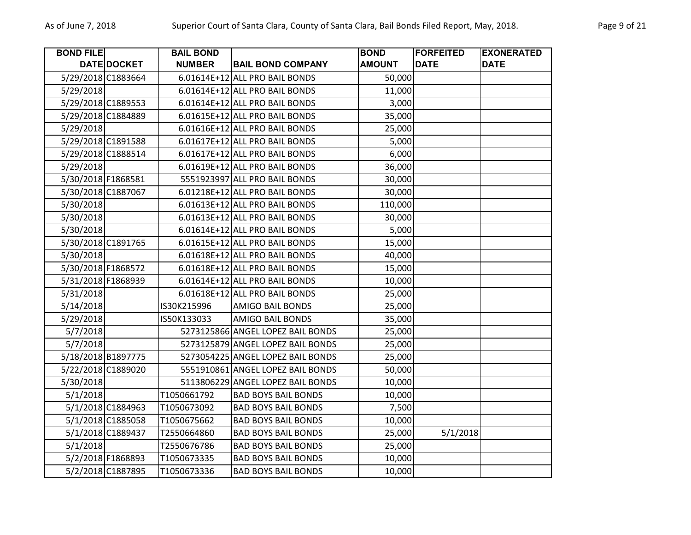| <b>BOND FILE</b>   |                    | <b>BAIL BOND</b> |                                   | <b>BOND</b>   | <b>FORFEITED</b> | <b>EXONERATED</b> |
|--------------------|--------------------|------------------|-----------------------------------|---------------|------------------|-------------------|
|                    | <b>DATE DOCKET</b> | <b>NUMBER</b>    | <b>BAIL BOND COMPANY</b>          | <b>AMOUNT</b> | <b>DATE</b>      | <b>DATE</b>       |
| 5/29/2018 C1883664 |                    |                  | 6.01614E+12 ALL PRO BAIL BONDS    | 50,000        |                  |                   |
| 5/29/2018          |                    |                  | 6.01614E+12 ALL PRO BAIL BONDS    | 11,000        |                  |                   |
| 5/29/2018 C1889553 |                    |                  | 6.01614E+12 ALL PRO BAIL BONDS    | 3,000         |                  |                   |
| 5/29/2018 C1884889 |                    |                  | 6.01615E+12 ALL PRO BAIL BONDS    | 35,000        |                  |                   |
| 5/29/2018          |                    |                  | 6.01616E+12 ALL PRO BAIL BONDS    | 25,000        |                  |                   |
| 5/29/2018 C1891588 |                    |                  | 6.01617E+12 ALL PRO BAIL BONDS    | 5,000         |                  |                   |
| 5/29/2018 C1888514 |                    |                  | 6.01617E+12 ALL PRO BAIL BONDS    | 6,000         |                  |                   |
| 5/29/2018          |                    |                  | 6.01619E+12 ALL PRO BAIL BONDS    | 36,000        |                  |                   |
| 5/30/2018 F1868581 |                    |                  | 5551923997 ALL PRO BAIL BONDS     | 30,000        |                  |                   |
| 5/30/2018 C1887067 |                    |                  | 6.01218E+12 ALL PRO BAIL BONDS    | 30,000        |                  |                   |
| 5/30/2018          |                    |                  | 6.01613E+12 ALL PRO BAIL BONDS    | 110,000       |                  |                   |
| 5/30/2018          |                    |                  | 6.01613E+12 ALL PRO BAIL BONDS    | 30,000        |                  |                   |
| 5/30/2018          |                    |                  | 6.01614E+12 ALL PRO BAIL BONDS    | 5,000         |                  |                   |
| 5/30/2018 C1891765 |                    |                  | 6.01615E+12 ALL PRO BAIL BONDS    | 15,000        |                  |                   |
| 5/30/2018          |                    |                  | 6.01618E+12 ALL PRO BAIL BONDS    | 40,000        |                  |                   |
| 5/30/2018 F1868572 |                    |                  | 6.01618E+12 ALL PRO BAIL BONDS    | 15,000        |                  |                   |
| 5/31/2018 F1868939 |                    |                  | 6.01614E+12 ALL PRO BAIL BONDS    | 10,000        |                  |                   |
| 5/31/2018          |                    |                  | 6.01618E+12 ALL PRO BAIL BONDS    | 25,000        |                  |                   |
| 5/14/2018          |                    | IS30K215996      | <b>AMIGO BAIL BONDS</b>           | 25,000        |                  |                   |
| 5/29/2018          |                    | IS50K133033      | <b>AMIGO BAIL BONDS</b>           | 35,000        |                  |                   |
| 5/7/2018           |                    |                  | 5273125866 ANGEL LOPEZ BAIL BONDS | 25,000        |                  |                   |
| 5/7/2018           |                    |                  | 5273125879 ANGEL LOPEZ BAIL BONDS | 25,000        |                  |                   |
| 5/18/2018 B1897775 |                    |                  | 5273054225 ANGEL LOPEZ BAIL BONDS | 25,000        |                  |                   |
| 5/22/2018 C1889020 |                    |                  | 5551910861 ANGEL LOPEZ BAIL BONDS | 50,000        |                  |                   |
| 5/30/2018          |                    |                  | 5113806229 ANGEL LOPEZ BAIL BONDS | 10,000        |                  |                   |
| 5/1/2018           |                    | T1050661792      | <b>BAD BOYS BAIL BONDS</b>        | 10,000        |                  |                   |
|                    | 5/1/2018 C1884963  | T1050673092      | <b>BAD BOYS BAIL BONDS</b>        | 7,500         |                  |                   |
|                    | 5/1/2018 C1885058  | T1050675662      | <b>BAD BOYS BAIL BONDS</b>        | 10,000        |                  |                   |
|                    | 5/1/2018 C1889437  | T2550664860      | <b>BAD BOYS BAIL BONDS</b>        | 25,000        | 5/1/2018         |                   |
| 5/1/2018           |                    | T2550676786      | <b>BAD BOYS BAIL BONDS</b>        | 25,000        |                  |                   |
|                    | 5/2/2018 F1868893  | T1050673335      | <b>BAD BOYS BAIL BONDS</b>        | 10,000        |                  |                   |
|                    | 5/2/2018 C1887895  | T1050673336      | <b>BAD BOYS BAIL BONDS</b>        | 10,000        |                  |                   |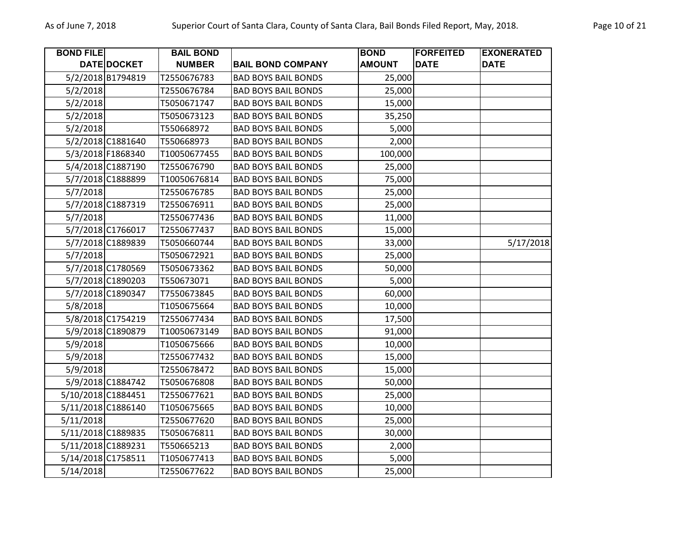| <b>BOND FILE</b> |                    | <b>BAIL BOND</b> |                            | <b>BOND</b>   | <b>FORFEITED</b> | <b>EXONERATED</b> |
|------------------|--------------------|------------------|----------------------------|---------------|------------------|-------------------|
|                  | DATE DOCKET        | <b>NUMBER</b>    | <b>BAIL BOND COMPANY</b>   | <b>AMOUNT</b> | <b>DATE</b>      | <b>DATE</b>       |
|                  | 5/2/2018 B1794819  | T2550676783      | <b>BAD BOYS BAIL BONDS</b> | 25,000        |                  |                   |
| 5/2/2018         |                    | T2550676784      | <b>BAD BOYS BAIL BONDS</b> | 25,000        |                  |                   |
| 5/2/2018         |                    | T5050671747      | <b>BAD BOYS BAIL BONDS</b> | 15,000        |                  |                   |
| 5/2/2018         |                    | T5050673123      | <b>BAD BOYS BAIL BONDS</b> | 35,250        |                  |                   |
| 5/2/2018         |                    | T550668972       | <b>BAD BOYS BAIL BONDS</b> | 5,000         |                  |                   |
|                  | 5/2/2018 C1881640  | T550668973       | <b>BAD BOYS BAIL BONDS</b> | 2,000         |                  |                   |
|                  | 5/3/2018 F1868340  | T10050677455     | <b>BAD BOYS BAIL BONDS</b> | 100,000       |                  |                   |
|                  | 5/4/2018 C1887190  | T2550676790      | <b>BAD BOYS BAIL BONDS</b> | 25,000        |                  |                   |
|                  | 5/7/2018 C1888899  | T10050676814     | <b>BAD BOYS BAIL BONDS</b> | 75,000        |                  |                   |
| 5/7/2018         |                    | T2550676785      | <b>BAD BOYS BAIL BONDS</b> | 25,000        |                  |                   |
|                  | 5/7/2018 C1887319  | T2550676911      | <b>BAD BOYS BAIL BONDS</b> | 25,000        |                  |                   |
| 5/7/2018         |                    | T2550677436      | <b>BAD BOYS BAIL BONDS</b> | 11,000        |                  |                   |
|                  | 5/7/2018 C1766017  | T2550677437      | <b>BAD BOYS BAIL BONDS</b> | 15,000        |                  |                   |
|                  | 5/7/2018 C1889839  | T5050660744      | <b>BAD BOYS BAIL BONDS</b> | 33,000        |                  | 5/17/2018         |
| 5/7/2018         |                    | T5050672921      | <b>BAD BOYS BAIL BONDS</b> | 25,000        |                  |                   |
|                  | 5/7/2018 C1780569  | T5050673362      | <b>BAD BOYS BAIL BONDS</b> | 50,000        |                  |                   |
|                  | 5/7/2018 C1890203  | T550673071       | <b>BAD BOYS BAIL BONDS</b> | 5,000         |                  |                   |
|                  | 5/7/2018 C1890347  | T7550673845      | <b>BAD BOYS BAIL BONDS</b> | 60,000        |                  |                   |
| 5/8/2018         |                    | T1050675664      | <b>BAD BOYS BAIL BONDS</b> | 10,000        |                  |                   |
|                  | 5/8/2018 C1754219  | T2550677434      | <b>BAD BOYS BAIL BONDS</b> | 17,500        |                  |                   |
|                  | 5/9/2018 C1890879  | T10050673149     | <b>BAD BOYS BAIL BONDS</b> | 91,000        |                  |                   |
| 5/9/2018         |                    | T1050675666      | <b>BAD BOYS BAIL BONDS</b> | 10,000        |                  |                   |
| 5/9/2018         |                    | T2550677432      | <b>BAD BOYS BAIL BONDS</b> | 15,000        |                  |                   |
| 5/9/2018         |                    | T2550678472      | <b>BAD BOYS BAIL BONDS</b> | 15,000        |                  |                   |
|                  | 5/9/2018 C1884742  | T5050676808      | <b>BAD BOYS BAIL BONDS</b> | 50,000        |                  |                   |
|                  | 5/10/2018 C1884451 | T2550677621      | <b>BAD BOYS BAIL BONDS</b> | 25,000        |                  |                   |
|                  | 5/11/2018 C1886140 | T1050675665      | <b>BAD BOYS BAIL BONDS</b> | 10,000        |                  |                   |
| 5/11/2018        |                    | T2550677620      | <b>BAD BOYS BAIL BONDS</b> | 25,000        |                  |                   |
|                  | 5/11/2018 C1889835 | T5050676811      | <b>BAD BOYS BAIL BONDS</b> | 30,000        |                  |                   |
|                  | 5/11/2018 C1889231 | T550665213       | <b>BAD BOYS BAIL BONDS</b> | 2,000         |                  |                   |
|                  | 5/14/2018 C1758511 | T1050677413      | <b>BAD BOYS BAIL BONDS</b> | 5,000         |                  |                   |
| 5/14/2018        |                    | T2550677622      | <b>BAD BOYS BAIL BONDS</b> | 25,000        |                  |                   |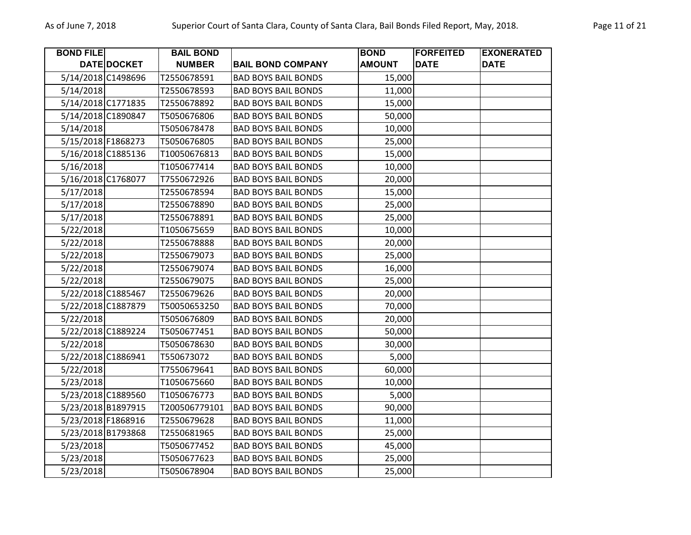| <b>BOND FILE</b> |                    | <b>BAIL BOND</b> |                            | <b>BOND</b>   | <b>FORFEITED</b> | <b>EXONERATED</b> |
|------------------|--------------------|------------------|----------------------------|---------------|------------------|-------------------|
|                  | DATE DOCKET        | <b>NUMBER</b>    | <b>BAIL BOND COMPANY</b>   | <b>AMOUNT</b> | <b>DATE</b>      | <b>DATE</b>       |
|                  | 5/14/2018 C1498696 | T2550678591      | <b>BAD BOYS BAIL BONDS</b> | 15,000        |                  |                   |
| 5/14/2018        |                    | T2550678593      | <b>BAD BOYS BAIL BONDS</b> | 11,000        |                  |                   |
|                  | 5/14/2018 C1771835 | T2550678892      | <b>BAD BOYS BAIL BONDS</b> | 15,000        |                  |                   |
|                  | 5/14/2018 C1890847 | T5050676806      | <b>BAD BOYS BAIL BONDS</b> | 50,000        |                  |                   |
| 5/14/2018        |                    | T5050678478      | <b>BAD BOYS BAIL BONDS</b> | 10,000        |                  |                   |
|                  | 5/15/2018 F1868273 | T5050676805      | <b>BAD BOYS BAIL BONDS</b> | 25,000        |                  |                   |
|                  | 5/16/2018 C1885136 | T10050676813     | <b>BAD BOYS BAIL BONDS</b> | 15,000        |                  |                   |
| 5/16/2018        |                    | T1050677414      | <b>BAD BOYS BAIL BONDS</b> | 10,000        |                  |                   |
|                  | 5/16/2018 C1768077 | T7550672926      | <b>BAD BOYS BAIL BONDS</b> | 20,000        |                  |                   |
| 5/17/2018        |                    | T2550678594      | <b>BAD BOYS BAIL BONDS</b> | 15,000        |                  |                   |
| 5/17/2018        |                    | T2550678890      | <b>BAD BOYS BAIL BONDS</b> | 25,000        |                  |                   |
| 5/17/2018        |                    | T2550678891      | <b>BAD BOYS BAIL BONDS</b> | 25,000        |                  |                   |
| 5/22/2018        |                    | T1050675659      | <b>BAD BOYS BAIL BONDS</b> | 10,000        |                  |                   |
| 5/22/2018        |                    | T2550678888      | <b>BAD BOYS BAIL BONDS</b> | 20,000        |                  |                   |
| 5/22/2018        |                    | T2550679073      | <b>BAD BOYS BAIL BONDS</b> | 25,000        |                  |                   |
| 5/22/2018        |                    | T2550679074      | <b>BAD BOYS BAIL BONDS</b> | 16,000        |                  |                   |
| 5/22/2018        |                    | T2550679075      | <b>BAD BOYS BAIL BONDS</b> | 25,000        |                  |                   |
|                  | 5/22/2018 C1885467 | T2550679626      | <b>BAD BOYS BAIL BONDS</b> | 20,000        |                  |                   |
|                  | 5/22/2018 C1887879 | T50050653250     | <b>BAD BOYS BAIL BONDS</b> | 70,000        |                  |                   |
| 5/22/2018        |                    | T5050676809      | <b>BAD BOYS BAIL BONDS</b> | 20,000        |                  |                   |
|                  | 5/22/2018 C1889224 | T5050677451      | <b>BAD BOYS BAIL BONDS</b> | 50,000        |                  |                   |
| 5/22/2018        |                    | T5050678630      | <b>BAD BOYS BAIL BONDS</b> | 30,000        |                  |                   |
|                  | 5/22/2018 C1886941 | T550673072       | <b>BAD BOYS BAIL BONDS</b> | 5,000         |                  |                   |
| 5/22/2018        |                    | T7550679641      | <b>BAD BOYS BAIL BONDS</b> | 60,000        |                  |                   |
| 5/23/2018        |                    | T1050675660      | <b>BAD BOYS BAIL BONDS</b> | 10,000        |                  |                   |
|                  | 5/23/2018 C1889560 | T1050676773      | <b>BAD BOYS BAIL BONDS</b> | 5,000         |                  |                   |
|                  | 5/23/2018 B1897915 | T200506779101    | <b>BAD BOYS BAIL BONDS</b> | 90,000        |                  |                   |
|                  | 5/23/2018 F1868916 | T2550679628      | <b>BAD BOYS BAIL BONDS</b> | 11,000        |                  |                   |
|                  | 5/23/2018 B1793868 | T2550681965      | <b>BAD BOYS BAIL BONDS</b> | 25,000        |                  |                   |
| 5/23/2018        |                    | T5050677452      | <b>BAD BOYS BAIL BONDS</b> | 45,000        |                  |                   |
| 5/23/2018        |                    | T5050677623      | <b>BAD BOYS BAIL BONDS</b> | 25,000        |                  |                   |
| 5/23/2018        |                    | T5050678904      | <b>BAD BOYS BAIL BONDS</b> | 25,000        |                  |                   |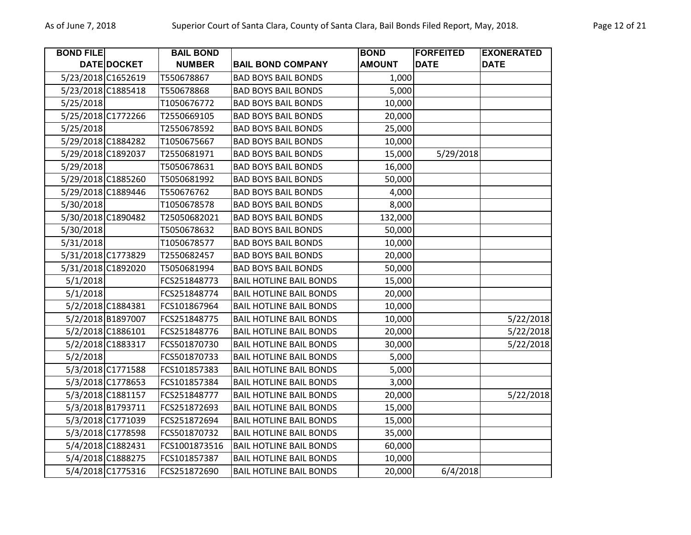| <b>BOND FILE</b> |                    | <b>BAIL BOND</b> |                                | <b>BOND</b>   | <b>FORFEITED</b> | <b>EXONERATED</b> |
|------------------|--------------------|------------------|--------------------------------|---------------|------------------|-------------------|
|                  | DATE DOCKET        | <b>NUMBER</b>    | <b>BAIL BOND COMPANY</b>       | <b>AMOUNT</b> | <b>DATE</b>      | <b>DATE</b>       |
|                  | 5/23/2018 C1652619 | T550678867       | <b>BAD BOYS BAIL BONDS</b>     | 1,000         |                  |                   |
|                  | 5/23/2018 C1885418 | T550678868       | <b>BAD BOYS BAIL BONDS</b>     | 5,000         |                  |                   |
| 5/25/2018        |                    | T1050676772      | <b>BAD BOYS BAIL BONDS</b>     | 10,000        |                  |                   |
|                  | 5/25/2018 C1772266 | T2550669105      | <b>BAD BOYS BAIL BONDS</b>     | 20,000        |                  |                   |
| 5/25/2018        |                    | T2550678592      | <b>BAD BOYS BAIL BONDS</b>     | 25,000        |                  |                   |
|                  | 5/29/2018 C1884282 | T1050675667      | <b>BAD BOYS BAIL BONDS</b>     | 10,000        |                  |                   |
|                  | 5/29/2018 C1892037 | T2550681971      | <b>BAD BOYS BAIL BONDS</b>     | 15,000        | 5/29/2018        |                   |
| 5/29/2018        |                    | T5050678631      | <b>BAD BOYS BAIL BONDS</b>     | 16,000        |                  |                   |
|                  | 5/29/2018 C1885260 | T5050681992      | <b>BAD BOYS BAIL BONDS</b>     | 50,000        |                  |                   |
|                  | 5/29/2018 C1889446 | T550676762       | <b>BAD BOYS BAIL BONDS</b>     | 4,000         |                  |                   |
| 5/30/2018        |                    | T1050678578      | <b>BAD BOYS BAIL BONDS</b>     | 8,000         |                  |                   |
|                  | 5/30/2018 C1890482 | T25050682021     | <b>BAD BOYS BAIL BONDS</b>     | 132,000       |                  |                   |
| 5/30/2018        |                    | T5050678632      | <b>BAD BOYS BAIL BONDS</b>     | 50,000        |                  |                   |
| 5/31/2018        |                    | T1050678577      | <b>BAD BOYS BAIL BONDS</b>     | 10,000        |                  |                   |
|                  | 5/31/2018 C1773829 | T2550682457      | <b>BAD BOYS BAIL BONDS</b>     | 20,000        |                  |                   |
|                  | 5/31/2018 C1892020 | T5050681994      | <b>BAD BOYS BAIL BONDS</b>     | 50,000        |                  |                   |
| 5/1/2018         |                    | FCS251848773     | <b>BAIL HOTLINE BAIL BONDS</b> | 15,000        |                  |                   |
| 5/1/2018         |                    | FCS251848774     | <b>BAIL HOTLINE BAIL BONDS</b> | 20,000        |                  |                   |
|                  | 5/2/2018 C1884381  | FCS101867964     | <b>BAIL HOTLINE BAIL BONDS</b> | 10,000        |                  |                   |
|                  | 5/2/2018 B1897007  | FCS251848775     | <b>BAIL HOTLINE BAIL BONDS</b> | 10,000        |                  | 5/22/2018         |
|                  | 5/2/2018 C1886101  | FCS251848776     | <b>BAIL HOTLINE BAIL BONDS</b> | 20,000        |                  | 5/22/2018         |
|                  | 5/2/2018 C1883317  | FCS501870730     | <b>BAIL HOTLINE BAIL BONDS</b> | 30,000        |                  | 5/22/2018         |
| 5/2/2018         |                    | FCS501870733     | <b>BAIL HOTLINE BAIL BONDS</b> | 5,000         |                  |                   |
|                  | 5/3/2018 C1771588  | FCS101857383     | <b>BAIL HOTLINE BAIL BONDS</b> | 5,000         |                  |                   |
|                  | 5/3/2018 C1778653  | FCS101857384     | <b>BAIL HOTLINE BAIL BONDS</b> | 3,000         |                  |                   |
|                  | 5/3/2018 C1881157  | FCS251848777     | <b>BAIL HOTLINE BAIL BONDS</b> | 20,000        |                  | 5/22/2018         |
|                  | 5/3/2018 B1793711  | FCS251872693     | <b>BAIL HOTLINE BAIL BONDS</b> | 15,000        |                  |                   |
|                  | 5/3/2018 C1771039  | FCS251872694     | <b>BAIL HOTLINE BAIL BONDS</b> | 15,000        |                  |                   |
|                  | 5/3/2018 C1778598  | FCS501870732     | <b>BAIL HOTLINE BAIL BONDS</b> | 35,000        |                  |                   |
|                  | 5/4/2018 C1882431  | FCS1001873516    | <b>BAIL HOTLINE BAIL BONDS</b> | 60,000        |                  |                   |
|                  | 5/4/2018 C1888275  | FCS101857387     | <b>BAIL HOTLINE BAIL BONDS</b> | 10,000        |                  |                   |
|                  | 5/4/2018 C1775316  | FCS251872690     | <b>BAIL HOTLINE BAIL BONDS</b> | 20,000        | 6/4/2018         |                   |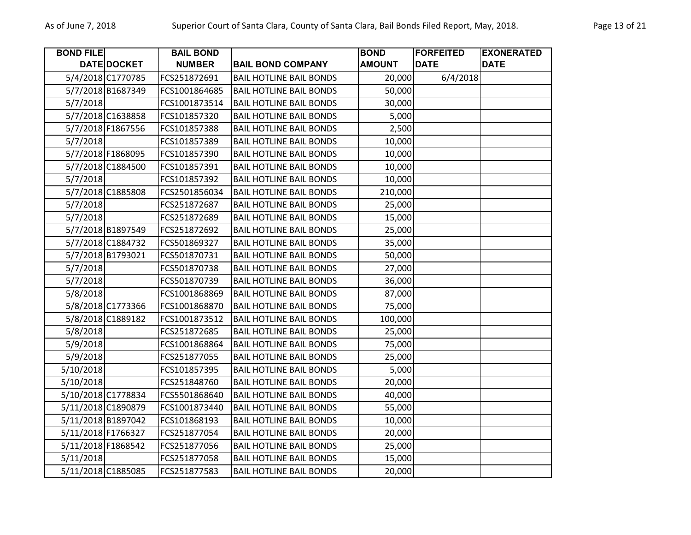| <b>BOND FILE</b>   |                    | <b>BAIL BOND</b> |                                | <b>BOND</b>   | <b>FORFEITED</b> | <b>EXONERATED</b> |
|--------------------|--------------------|------------------|--------------------------------|---------------|------------------|-------------------|
|                    | <b>DATE DOCKET</b> | <b>NUMBER</b>    | <b>BAIL BOND COMPANY</b>       | <b>AMOUNT</b> | <b>DATE</b>      | <b>DATE</b>       |
|                    | 5/4/2018 C1770785  | FCS251872691     | <b>BAIL HOTLINE BAIL BONDS</b> | 20,000        | 6/4/2018         |                   |
|                    | 5/7/2018 B1687349  | FCS1001864685    | <b>BAIL HOTLINE BAIL BONDS</b> | 50,000        |                  |                   |
| 5/7/2018           |                    | FCS1001873514    | <b>BAIL HOTLINE BAIL BONDS</b> | 30,000        |                  |                   |
|                    | 5/7/2018 C1638858  | FCS101857320     | <b>BAIL HOTLINE BAIL BONDS</b> | 5,000         |                  |                   |
|                    | 5/7/2018 F1867556  | FCS101857388     | <b>BAIL HOTLINE BAIL BONDS</b> | 2,500         |                  |                   |
| 5/7/2018           |                    | FCS101857389     | <b>BAIL HOTLINE BAIL BONDS</b> | 10,000        |                  |                   |
|                    | 5/7/2018 F1868095  | FCS101857390     | <b>BAIL HOTLINE BAIL BONDS</b> | 10,000        |                  |                   |
|                    | 5/7/2018 C1884500  | FCS101857391     | <b>BAIL HOTLINE BAIL BONDS</b> | 10,000        |                  |                   |
| 5/7/2018           |                    | FCS101857392     | <b>BAIL HOTLINE BAIL BONDS</b> | 10,000        |                  |                   |
|                    | 5/7/2018 C1885808  | FCS2501856034    | <b>BAIL HOTLINE BAIL BONDS</b> | 210,000       |                  |                   |
| 5/7/2018           |                    | FCS251872687     | <b>BAIL HOTLINE BAIL BONDS</b> | 25,000        |                  |                   |
| 5/7/2018           |                    | FCS251872689     | <b>BAIL HOTLINE BAIL BONDS</b> | 15,000        |                  |                   |
|                    | 5/7/2018 B1897549  | FCS251872692     | <b>BAIL HOTLINE BAIL BONDS</b> | 25,000        |                  |                   |
|                    | 5/7/2018 C1884732  | FCS501869327     | <b>BAIL HOTLINE BAIL BONDS</b> | 35,000        |                  |                   |
|                    | 5/7/2018 B1793021  | FCS501870731     | <b>BAIL HOTLINE BAIL BONDS</b> | 50,000        |                  |                   |
| 5/7/2018           |                    | FCS501870738     | <b>BAIL HOTLINE BAIL BONDS</b> | 27,000        |                  |                   |
| 5/7/2018           |                    | FCS501870739     | <b>BAIL HOTLINE BAIL BONDS</b> | 36,000        |                  |                   |
| 5/8/2018           |                    | FCS1001868869    | <b>BAIL HOTLINE BAIL BONDS</b> | 87,000        |                  |                   |
|                    | 5/8/2018 C1773366  | FCS1001868870    | <b>BAIL HOTLINE BAIL BONDS</b> | 75,000        |                  |                   |
|                    | 5/8/2018 C1889182  | FCS1001873512    | <b>BAIL HOTLINE BAIL BONDS</b> | 100,000       |                  |                   |
| 5/8/2018           |                    | FCS251872685     | <b>BAIL HOTLINE BAIL BONDS</b> | 25,000        |                  |                   |
| 5/9/2018           |                    | FCS1001868864    | <b>BAIL HOTLINE BAIL BONDS</b> | 75,000        |                  |                   |
| 5/9/2018           |                    | FCS251877055     | <b>BAIL HOTLINE BAIL BONDS</b> | 25,000        |                  |                   |
| 5/10/2018          |                    | FCS101857395     | <b>BAIL HOTLINE BAIL BONDS</b> | 5,000         |                  |                   |
| 5/10/2018          |                    | FCS251848760     | <b>BAIL HOTLINE BAIL BONDS</b> | 20,000        |                  |                   |
|                    | 5/10/2018 C1778834 | FCS5501868640    | <b>BAIL HOTLINE BAIL BONDS</b> | 40,000        |                  |                   |
| 5/11/2018 C1890879 |                    | FCS1001873440    | <b>BAIL HOTLINE BAIL BONDS</b> | 55,000        |                  |                   |
| 5/11/2018 B1897042 |                    | FCS101868193     | <b>BAIL HOTLINE BAIL BONDS</b> | 10,000        |                  |                   |
| 5/11/2018 F1766327 |                    | FCS251877054     | <b>BAIL HOTLINE BAIL BONDS</b> | 20,000        |                  |                   |
| 5/11/2018 F1868542 |                    | FCS251877056     | <b>BAIL HOTLINE BAIL BONDS</b> | 25,000        |                  |                   |
| 5/11/2018          |                    | FCS251877058     | <b>BAIL HOTLINE BAIL BONDS</b> | 15,000        |                  |                   |
| 5/11/2018 C1885085 |                    | FCS251877583     | <b>BAIL HOTLINE BAIL BONDS</b> | 20,000        |                  |                   |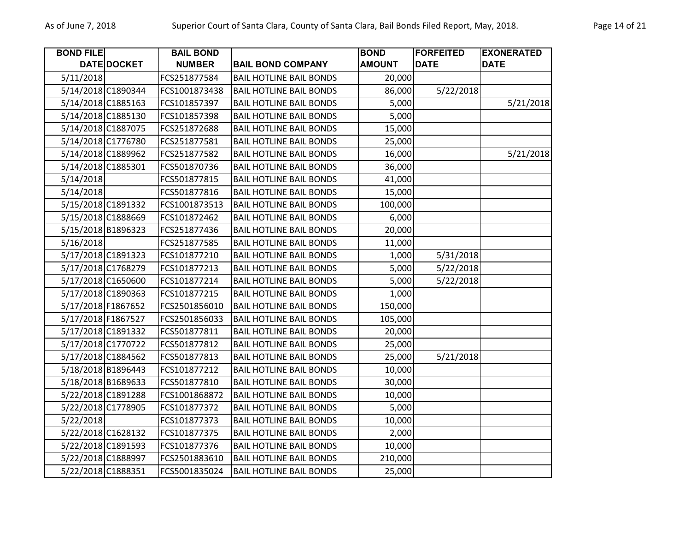| <b>BOND FILE</b>   |                    | <b>BAIL BOND</b> |                                | <b>BOND</b>   | <b>FORFEITED</b> | <b>EXONERATED</b> |
|--------------------|--------------------|------------------|--------------------------------|---------------|------------------|-------------------|
|                    | <b>DATE DOCKET</b> | <b>NUMBER</b>    | <b>BAIL BOND COMPANY</b>       | <b>AMOUNT</b> | <b>DATE</b>      | <b>DATE</b>       |
| 5/11/2018          |                    | FCS251877584     | <b>BAIL HOTLINE BAIL BONDS</b> | 20,000        |                  |                   |
| 5/14/2018 C1890344 |                    | FCS1001873438    | <b>BAIL HOTLINE BAIL BONDS</b> | 86,000        | 5/22/2018        |                   |
| 5/14/2018 C1885163 |                    | FCS101857397     | <b>BAIL HOTLINE BAIL BONDS</b> | 5,000         |                  | 5/21/2018         |
| 5/14/2018 C1885130 |                    | FCS101857398     | <b>BAIL HOTLINE BAIL BONDS</b> | 5,000         |                  |                   |
|                    | 5/14/2018 C1887075 | FCS251872688     | <b>BAIL HOTLINE BAIL BONDS</b> | 15,000        |                  |                   |
| 5/14/2018 C1776780 |                    | FCS251877581     | <b>BAIL HOTLINE BAIL BONDS</b> | 25,000        |                  |                   |
| 5/14/2018 C1889962 |                    | FCS251877582     | <b>BAIL HOTLINE BAIL BONDS</b> | 16,000        |                  | 5/21/2018         |
| 5/14/2018 C1885301 |                    | FCS501870736     | <b>BAIL HOTLINE BAIL BONDS</b> | 36,000        |                  |                   |
| 5/14/2018          |                    | FCS501877815     | <b>BAIL HOTLINE BAIL BONDS</b> | 41,000        |                  |                   |
| 5/14/2018          |                    | FCS501877816     | <b>BAIL HOTLINE BAIL BONDS</b> | 15,000        |                  |                   |
| 5/15/2018 C1891332 |                    | FCS1001873513    | <b>BAIL HOTLINE BAIL BONDS</b> | 100,000       |                  |                   |
| 5/15/2018 C1888669 |                    | FCS101872462     | <b>BAIL HOTLINE BAIL BONDS</b> | 6,000         |                  |                   |
| 5/15/2018 B1896323 |                    | FCS251877436     | <b>BAIL HOTLINE BAIL BONDS</b> | 20,000        |                  |                   |
| 5/16/2018          |                    | FCS251877585     | <b>BAIL HOTLINE BAIL BONDS</b> | 11,000        |                  |                   |
| 5/17/2018 C1891323 |                    | FCS101877210     | <b>BAIL HOTLINE BAIL BONDS</b> | 1,000         | 5/31/2018        |                   |
| 5/17/2018 C1768279 |                    | FCS101877213     | <b>BAIL HOTLINE BAIL BONDS</b> | 5,000         | 5/22/2018        |                   |
|                    | 5/17/2018 C1650600 | FCS101877214     | <b>BAIL HOTLINE BAIL BONDS</b> | 5,000         | 5/22/2018        |                   |
| 5/17/2018 C1890363 |                    | FCS101877215     | <b>BAIL HOTLINE BAIL BONDS</b> | 1,000         |                  |                   |
| 5/17/2018 F1867652 |                    | FCS2501856010    | <b>BAIL HOTLINE BAIL BONDS</b> | 150,000       |                  |                   |
| 5/17/2018 F1867527 |                    | FCS2501856033    | <b>BAIL HOTLINE BAIL BONDS</b> | 105,000       |                  |                   |
| 5/17/2018 C1891332 |                    | FCS501877811     | <b>BAIL HOTLINE BAIL BONDS</b> | 20,000        |                  |                   |
|                    | 5/17/2018 C1770722 | FCS501877812     | <b>BAIL HOTLINE BAIL BONDS</b> | 25,000        |                  |                   |
| 5/17/2018 C1884562 |                    | FCS501877813     | <b>BAIL HOTLINE BAIL BONDS</b> | 25,000        | 5/21/2018        |                   |
| 5/18/2018 B1896443 |                    | FCS101877212     | <b>BAIL HOTLINE BAIL BONDS</b> | 10,000        |                  |                   |
| 5/18/2018 B1689633 |                    | FCS501877810     | <b>BAIL HOTLINE BAIL BONDS</b> | 30,000        |                  |                   |
| 5/22/2018 C1891288 |                    | FCS1001868872    | <b>BAIL HOTLINE BAIL BONDS</b> | 10,000        |                  |                   |
| 5/22/2018 C1778905 |                    | FCS101877372     | <b>BAIL HOTLINE BAIL BONDS</b> | 5,000         |                  |                   |
| 5/22/2018          |                    | FCS101877373     | <b>BAIL HOTLINE BAIL BONDS</b> | 10,000        |                  |                   |
| 5/22/2018 C1628132 |                    | FCS101877375     | <b>BAIL HOTLINE BAIL BONDS</b> | 2,000         |                  |                   |
|                    | 5/22/2018 C1891593 | FCS101877376     | <b>BAIL HOTLINE BAIL BONDS</b> | 10,000        |                  |                   |
| 5/22/2018 C1888997 |                    | FCS2501883610    | <b>BAIL HOTLINE BAIL BONDS</b> | 210,000       |                  |                   |
| 5/22/2018 C1888351 |                    | FCS5001835024    | <b>BAIL HOTLINE BAIL BONDS</b> | 25,000        |                  |                   |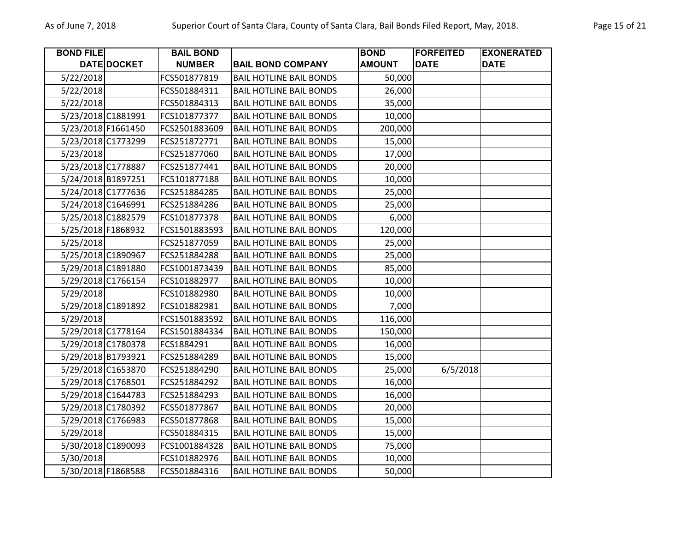| <b>BOND FILE</b> |                    | <b>BAIL BOND</b> |                                | <b>BOND</b>   | <b>FORFEITED</b> | <b>EXONERATED</b> |
|------------------|--------------------|------------------|--------------------------------|---------------|------------------|-------------------|
|                  | DATE DOCKET        | <b>NUMBER</b>    | <b>BAIL BOND COMPANY</b>       | <b>AMOUNT</b> | <b>DATE</b>      | <b>DATE</b>       |
| 5/22/2018        |                    | FCS501877819     | <b>BAIL HOTLINE BAIL BONDS</b> | 50,000        |                  |                   |
| 5/22/2018        |                    | FCS501884311     | <b>BAIL HOTLINE BAIL BONDS</b> | 26,000        |                  |                   |
| 5/22/2018        |                    | FCS501884313     | <b>BAIL HOTLINE BAIL BONDS</b> | 35,000        |                  |                   |
|                  | 5/23/2018 C1881991 | FCS101877377     | <b>BAIL HOTLINE BAIL BONDS</b> | 10,000        |                  |                   |
|                  | 5/23/2018 F1661450 | FCS2501883609    | <b>BAIL HOTLINE BAIL BONDS</b> | 200,000       |                  |                   |
|                  | 5/23/2018 C1773299 | FCS251872771     | <b>BAIL HOTLINE BAIL BONDS</b> | 15,000        |                  |                   |
| 5/23/2018        |                    | FCS251877060     | <b>BAIL HOTLINE BAIL BONDS</b> | 17,000        |                  |                   |
|                  | 5/23/2018 C1778887 | FCS251877441     | <b>BAIL HOTLINE BAIL BONDS</b> | 20,000        |                  |                   |
|                  | 5/24/2018 B1897251 | FC5101877188     | <b>BAIL HOTLINE BAIL BONDS</b> | 10,000        |                  |                   |
|                  | 5/24/2018 C1777636 | FCS251884285     | <b>BAIL HOTLINE BAIL BONDS</b> | 25,000        |                  |                   |
|                  | 5/24/2018 C1646991 | FCS251884286     | <b>BAIL HOTLINE BAIL BONDS</b> | 25,000        |                  |                   |
|                  | 5/25/2018 C1882579 | FCS101877378     | <b>BAIL HOTLINE BAIL BONDS</b> | 6,000         |                  |                   |
|                  | 5/25/2018 F1868932 | FCS1501883593    | <b>BAIL HOTLINE BAIL BONDS</b> | 120,000       |                  |                   |
| 5/25/2018        |                    | FCS251877059     | <b>BAIL HOTLINE BAIL BONDS</b> | 25,000        |                  |                   |
|                  | 5/25/2018 C1890967 | FCS251884288     | <b>BAIL HOTLINE BAIL BONDS</b> | 25,000        |                  |                   |
|                  | 5/29/2018 C1891880 | FCS1001873439    | <b>BAIL HOTLINE BAIL BONDS</b> | 85,000        |                  |                   |
|                  | 5/29/2018 C1766154 | FCS101882977     | <b>BAIL HOTLINE BAIL BONDS</b> | 10,000        |                  |                   |
| 5/29/2018        |                    | FCS101882980     | <b>BAIL HOTLINE BAIL BONDS</b> | 10,000        |                  |                   |
|                  | 5/29/2018 C1891892 | FCS101882981     | <b>BAIL HOTLINE BAIL BONDS</b> | 7,000         |                  |                   |
| 5/29/2018        |                    | FCS1501883592    | <b>BAIL HOTLINE BAIL BONDS</b> | 116,000       |                  |                   |
|                  | 5/29/2018 C1778164 | FCS1501884334    | <b>BAIL HOTLINE BAIL BONDS</b> | 150,000       |                  |                   |
|                  | 5/29/2018 C1780378 | FCS1884291       | <b>BAIL HOTLINE BAIL BONDS</b> | 16,000        |                  |                   |
|                  | 5/29/2018 B1793921 | FCS251884289     | <b>BAIL HOTLINE BAIL BONDS</b> | 15,000        |                  |                   |
|                  | 5/29/2018 C1653870 | FCS251884290     | <b>BAIL HOTLINE BAIL BONDS</b> | 25,000        | 6/5/2018         |                   |
|                  | 5/29/2018 C1768501 | FCS251884292     | <b>BAIL HOTLINE BAIL BONDS</b> | 16,000        |                  |                   |
|                  | 5/29/2018 C1644783 | FCS251884293     | <b>BAIL HOTLINE BAIL BONDS</b> | 16,000        |                  |                   |
|                  | 5/29/2018 C1780392 | FCS501877867     | <b>BAIL HOTLINE BAIL BONDS</b> | 20,000        |                  |                   |
|                  | 5/29/2018 C1766983 | FCS501877868     | <b>BAIL HOTLINE BAIL BONDS</b> | 15,000        |                  |                   |
| 5/29/2018        |                    | FCS501884315     | <b>BAIL HOTLINE BAIL BONDS</b> | 15,000        |                  |                   |
|                  | 5/30/2018 C1890093 | FCS1001884328    | <b>BAIL HOTLINE BAIL BONDS</b> | 75,000        |                  |                   |
| 5/30/2018        |                    | FCS101882976     | <b>BAIL HOTLINE BAIL BONDS</b> | 10,000        |                  |                   |
|                  | 5/30/2018 F1868588 | FCS501884316     | <b>BAIL HOTLINE BAIL BONDS</b> | 50,000        |                  |                   |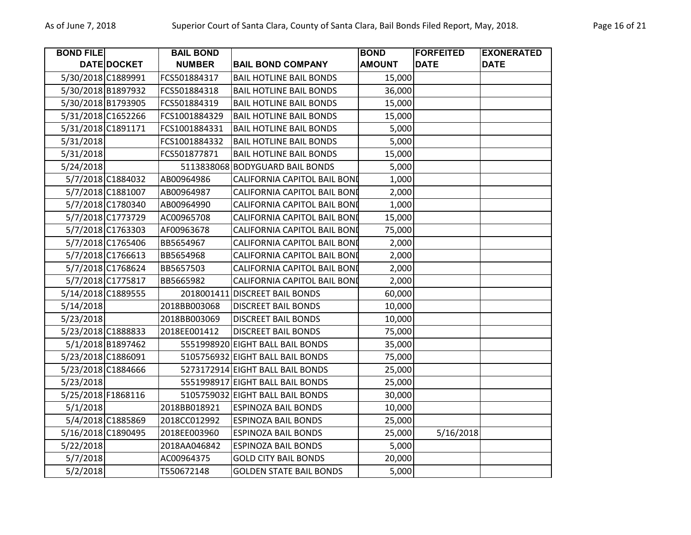| <b>BOND FILE</b>   |                    | <b>BAIL BOND</b> |                                     | <b>BOND</b>   | <b>FORFEITED</b> | <b>EXONERATED</b> |
|--------------------|--------------------|------------------|-------------------------------------|---------------|------------------|-------------------|
|                    | <b>DATE DOCKET</b> | <b>NUMBER</b>    | <b>BAIL BOND COMPANY</b>            | <b>AMOUNT</b> | <b>DATE</b>      | <b>DATE</b>       |
|                    | 5/30/2018 C1889991 | FCS501884317     | <b>BAIL HOTLINE BAIL BONDS</b>      | 15,000        |                  |                   |
|                    | 5/30/2018 B1897932 | FCS501884318     | <b>BAIL HOTLINE BAIL BONDS</b>      | 36,000        |                  |                   |
|                    | 5/30/2018 B1793905 | FCS501884319     | <b>BAIL HOTLINE BAIL BONDS</b>      | 15,000        |                  |                   |
|                    | 5/31/2018 C1652266 | FCS1001884329    | <b>BAIL HOTLINE BAIL BONDS</b>      | 15,000        |                  |                   |
|                    | 5/31/2018 C1891171 | FCS1001884331    | <b>BAIL HOTLINE BAIL BONDS</b>      | 5,000         |                  |                   |
| 5/31/2018          |                    | FCS1001884332    | <b>BAIL HOTLINE BAIL BONDS</b>      | 5,000         |                  |                   |
| 5/31/2018          |                    | FCS501877871     | <b>BAIL HOTLINE BAIL BONDS</b>      | 15,000        |                  |                   |
| 5/24/2018          |                    |                  | 5113838068 BODYGUARD BAIL BONDS     | 5,000         |                  |                   |
|                    | 5/7/2018 C1884032  | AB00964986       | <b>CALIFORNIA CAPITOL BAIL BONI</b> | 1,000         |                  |                   |
|                    | 5/7/2018 C1881007  | AB00964987       | CALIFORNIA CAPITOL BAIL BONI        | 2,000         |                  |                   |
|                    | 5/7/2018 C1780340  | AB00964990       | CALIFORNIA CAPITOL BAIL BONI        | 1,000         |                  |                   |
|                    | 5/7/2018 C1773729  | AC00965708       | CALIFORNIA CAPITOL BAIL BONI        | 15,000        |                  |                   |
|                    | 5/7/2018 C1763303  | AF00963678       | CALIFORNIA CAPITOL BAIL BONI        | 75,000        |                  |                   |
|                    | 5/7/2018 C1765406  | BB5654967        | CALIFORNIA CAPITOL BAIL BONI        | 2,000         |                  |                   |
|                    | 5/7/2018 C1766613  | BB5654968        | <b>CALIFORNIA CAPITOL BAIL BONI</b> | 2,000         |                  |                   |
|                    | 5/7/2018 C1768624  | BB5657503        | <b>CALIFORNIA CAPITOL BAIL BONI</b> | 2,000         |                  |                   |
|                    | 5/7/2018 C1775817  | BB5665982        | CALIFORNIA CAPITOL BAIL BONI        | 2,000         |                  |                   |
|                    | 5/14/2018 C1889555 |                  | 2018001411 DISCREET BAIL BONDS      | 60,000        |                  |                   |
| 5/14/2018          |                    | 2018BB003068     | <b>DISCREET BAIL BONDS</b>          | 10,000        |                  |                   |
| 5/23/2018          |                    | 2018BB003069     | <b>DISCREET BAIL BONDS</b>          | 10,000        |                  |                   |
|                    | 5/23/2018 C1888833 | 2018EE001412     | <b>DISCREET BAIL BONDS</b>          | 75,000        |                  |                   |
|                    | 5/1/2018 B1897462  |                  | 5551998920 EIGHT BALL BAIL BONDS    | 35,000        |                  |                   |
|                    | 5/23/2018 C1886091 |                  | 5105756932 EIGHT BALL BAIL BONDS    | 75,000        |                  |                   |
|                    | 5/23/2018 C1884666 |                  | 5273172914 EIGHT BALL BAIL BONDS    | 25,000        |                  |                   |
| 5/23/2018          |                    |                  | 5551998917 EIGHT BALL BAIL BONDS    | 25,000        |                  |                   |
| 5/25/2018 F1868116 |                    |                  | 5105759032 EIGHT BALL BAIL BONDS    | 30,000        |                  |                   |
| 5/1/2018           |                    | 2018BB018921     | <b>ESPINOZA BAIL BONDS</b>          | 10,000        |                  |                   |
|                    | 5/4/2018 C1885869  | 2018CC012992     | <b>ESPINOZA BAIL BONDS</b>          | 25,000        |                  |                   |
| 5/16/2018 C1890495 |                    | 2018EE003960     | <b>ESPINOZA BAIL BONDS</b>          | 25,000        | 5/16/2018        |                   |
| 5/22/2018          |                    | 2018AA046842     | <b>ESPINOZA BAIL BONDS</b>          | 5,000         |                  |                   |
| 5/7/2018           |                    | AC00964375       | <b>GOLD CITY BAIL BONDS</b>         | 20,000        |                  |                   |
| 5/2/2018           |                    | T550672148       | <b>GOLDEN STATE BAIL BONDS</b>      | 5,000         |                  |                   |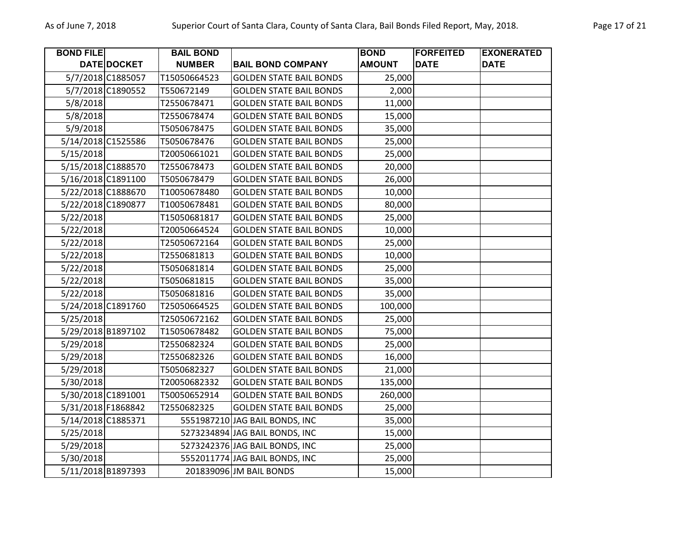| <b>BOND FILE</b> |                    | <b>BAIL BOND</b> |                                | <b>BOND</b>   | <b>FORFEITED</b> | <b>EXONERATED</b> |
|------------------|--------------------|------------------|--------------------------------|---------------|------------------|-------------------|
|                  | DATE DOCKET        | <b>NUMBER</b>    | <b>BAIL BOND COMPANY</b>       | <b>AMOUNT</b> | <b>DATE</b>      | <b>DATE</b>       |
|                  | 5/7/2018 C1885057  | T15050664523     | <b>GOLDEN STATE BAIL BONDS</b> | 25,000        |                  |                   |
|                  | 5/7/2018 C1890552  | T550672149       | <b>GOLDEN STATE BAIL BONDS</b> | 2,000         |                  |                   |
| 5/8/2018         |                    | T2550678471      | <b>GOLDEN STATE BAIL BONDS</b> | 11,000        |                  |                   |
| 5/8/2018         |                    | T2550678474      | <b>GOLDEN STATE BAIL BONDS</b> | 15,000        |                  |                   |
| 5/9/2018         |                    | T5050678475      | <b>GOLDEN STATE BAIL BONDS</b> | 35,000        |                  |                   |
|                  | 5/14/2018 C1525586 | T5050678476      | <b>GOLDEN STATE BAIL BONDS</b> | 25,000        |                  |                   |
| 5/15/2018        |                    | T20050661021     | <b>GOLDEN STATE BAIL BONDS</b> | 25,000        |                  |                   |
|                  | 5/15/2018 C1888570 | T2550678473      | <b>GOLDEN STATE BAIL BONDS</b> | 20,000        |                  |                   |
|                  | 5/16/2018 C1891100 | T5050678479      | <b>GOLDEN STATE BAIL BONDS</b> | 26,000        |                  |                   |
|                  | 5/22/2018 C1888670 | T10050678480     | <b>GOLDEN STATE BAIL BONDS</b> | 10,000        |                  |                   |
|                  | 5/22/2018 C1890877 | T10050678481     | <b>GOLDEN STATE BAIL BONDS</b> | 80,000        |                  |                   |
| 5/22/2018        |                    | T15050681817     | <b>GOLDEN STATE BAIL BONDS</b> | 25,000        |                  |                   |
| 5/22/2018        |                    | T20050664524     | <b>GOLDEN STATE BAIL BONDS</b> | 10,000        |                  |                   |
| 5/22/2018        |                    | T25050672164     | <b>GOLDEN STATE BAIL BONDS</b> | 25,000        |                  |                   |
| 5/22/2018        |                    | T2550681813      | <b>GOLDEN STATE BAIL BONDS</b> | 10,000        |                  |                   |
| 5/22/2018        |                    | T5050681814      | <b>GOLDEN STATE BAIL BONDS</b> | 25,000        |                  |                   |
| 5/22/2018        |                    | T5050681815      | <b>GOLDEN STATE BAIL BONDS</b> | 35,000        |                  |                   |
| 5/22/2018        |                    | T5050681816      | <b>GOLDEN STATE BAIL BONDS</b> | 35,000        |                  |                   |
|                  | 5/24/2018 C1891760 | T25050664525     | <b>GOLDEN STATE BAIL BONDS</b> | 100,000       |                  |                   |
| 5/25/2018        |                    | T25050672162     | <b>GOLDEN STATE BAIL BONDS</b> | 25,000        |                  |                   |
|                  | 5/29/2018 B1897102 | T15050678482     | <b>GOLDEN STATE BAIL BONDS</b> | 75,000        |                  |                   |
| 5/29/2018        |                    | T2550682324      | <b>GOLDEN STATE BAIL BONDS</b> | 25,000        |                  |                   |
| 5/29/2018        |                    | T2550682326      | <b>GOLDEN STATE BAIL BONDS</b> | 16,000        |                  |                   |
| 5/29/2018        |                    | T5050682327      | <b>GOLDEN STATE BAIL BONDS</b> | 21,000        |                  |                   |
| 5/30/2018        |                    | T20050682332     | <b>GOLDEN STATE BAIL BONDS</b> | 135,000       |                  |                   |
|                  | 5/30/2018 C1891001 | T50050652914     | <b>GOLDEN STATE BAIL BONDS</b> | 260,000       |                  |                   |
|                  | 5/31/2018 F1868842 | T2550682325      | <b>GOLDEN STATE BAIL BONDS</b> | 25,000        |                  |                   |
|                  | 5/14/2018 C1885371 |                  | 5551987210 JAG BAIL BONDS, INC | 35,000        |                  |                   |
| 5/25/2018        |                    |                  | 5273234894 JAG BAIL BONDS, INC | 15,000        |                  |                   |
| 5/29/2018        |                    |                  | 5273242376 JAG BAIL BONDS, INC | 25,000        |                  |                   |
| 5/30/2018        |                    |                  | 5552011774 JAG BAIL BONDS, INC | 25,000        |                  |                   |
|                  | 5/11/2018 B1897393 |                  | 201839096 JM BAIL BONDS        | 15,000        |                  |                   |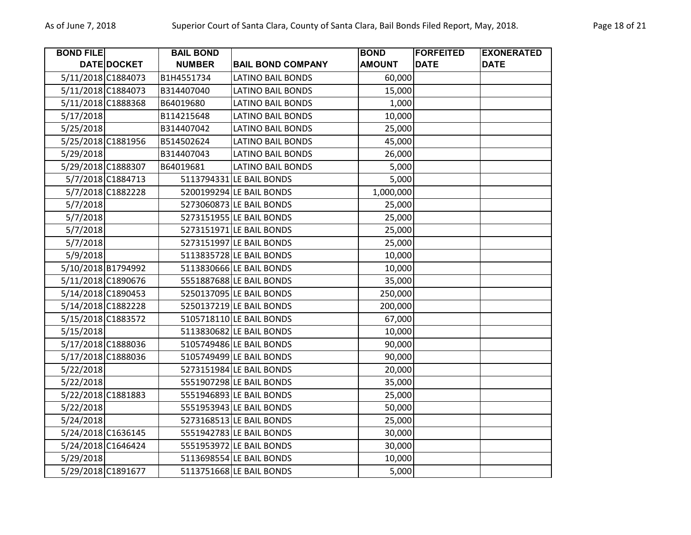| <b>BOND FILE</b> |                    | <b>BAIL BOND</b> |                          | <b>BOND</b>   | <b>FORFEITED</b> | <b>EXONERATED</b> |
|------------------|--------------------|------------------|--------------------------|---------------|------------------|-------------------|
|                  | DATE DOCKET        | <b>NUMBER</b>    | <b>BAIL BOND COMPANY</b> | <b>AMOUNT</b> | <b>DATE</b>      | <b>DATE</b>       |
|                  | 5/11/2018 C1884073 | B1H4551734       | <b>LATINO BAIL BONDS</b> | 60,000        |                  |                   |
|                  | 5/11/2018 C1884073 | B314407040       | <b>LATINO BAIL BONDS</b> | 15,000        |                  |                   |
|                  | 5/11/2018 C1888368 | B64019680        | <b>LATINO BAIL BONDS</b> | 1,000         |                  |                   |
| 5/17/2018        |                    | B114215648       | <b>LATINO BAIL BONDS</b> | 10,000        |                  |                   |
| 5/25/2018        |                    | B314407042       | <b>LATINO BAIL BONDS</b> | 25,000        |                  |                   |
|                  | 5/25/2018 C1881956 | B514502624       | <b>LATINO BAIL BONDS</b> | 45,000        |                  |                   |
| 5/29/2018        |                    | B314407043       | <b>LATINO BAIL BONDS</b> | 26,000        |                  |                   |
|                  | 5/29/2018 C1888307 | B64019681        | <b>LATINO BAIL BONDS</b> | 5,000         |                  |                   |
|                  | 5/7/2018 C1884713  |                  | 5113794331 LE BAIL BONDS | 5,000         |                  |                   |
|                  | 5/7/2018 C1882228  |                  | 5200199294 LE BAIL BONDS | 1,000,000     |                  |                   |
| 5/7/2018         |                    |                  | 5273060873 LE BAIL BONDS | 25,000        |                  |                   |
| 5/7/2018         |                    |                  | 5273151955 LE BAIL BONDS | 25,000        |                  |                   |
| 5/7/2018         |                    |                  | 5273151971 LE BAIL BONDS | 25,000        |                  |                   |
| 5/7/2018         |                    |                  | 5273151997 LE BAIL BONDS | 25,000        |                  |                   |
| 5/9/2018         |                    |                  | 5113835728 LE BAIL BONDS | 10,000        |                  |                   |
|                  | 5/10/2018 B1794992 |                  | 5113830666 LE BAIL BONDS | 10,000        |                  |                   |
|                  | 5/11/2018 C1890676 |                  | 5551887688 LE BAIL BONDS | 35,000        |                  |                   |
|                  | 5/14/2018 C1890453 |                  | 5250137095 LE BAIL BONDS | 250,000       |                  |                   |
|                  | 5/14/2018 C1882228 |                  | 5250137219 LE BAIL BONDS | 200,000       |                  |                   |
|                  | 5/15/2018 C1883572 |                  | 5105718110 LE BAIL BONDS | 67,000        |                  |                   |
| 5/15/2018        |                    |                  | 5113830682 LE BAIL BONDS | 10,000        |                  |                   |
|                  | 5/17/2018 C1888036 |                  | 5105749486 LE BAIL BONDS | 90,000        |                  |                   |
|                  | 5/17/2018 C1888036 |                  | 5105749499 LE BAIL BONDS | 90,000        |                  |                   |
| 5/22/2018        |                    |                  | 5273151984 LE BAIL BONDS | 20,000        |                  |                   |
| 5/22/2018        |                    |                  | 5551907298 LE BAIL BONDS | 35,000        |                  |                   |
|                  | 5/22/2018 C1881883 |                  | 5551946893 LE BAIL BONDS | 25,000        |                  |                   |
| 5/22/2018        |                    |                  | 5551953943 LE BAIL BONDS | 50,000        |                  |                   |
| 5/24/2018        |                    |                  | 5273168513 LE BAIL BONDS | 25,000        |                  |                   |
|                  | 5/24/2018 C1636145 |                  | 5551942783 LE BAIL BONDS | 30,000        |                  |                   |
|                  | 5/24/2018 C1646424 |                  | 5551953972 LE BAIL BONDS | 30,000        |                  |                   |
| 5/29/2018        |                    |                  | 5113698554 LE BAIL BONDS | 10,000        |                  |                   |
|                  | 5/29/2018 C1891677 |                  | 5113751668 LE BAIL BONDS | 5,000         |                  |                   |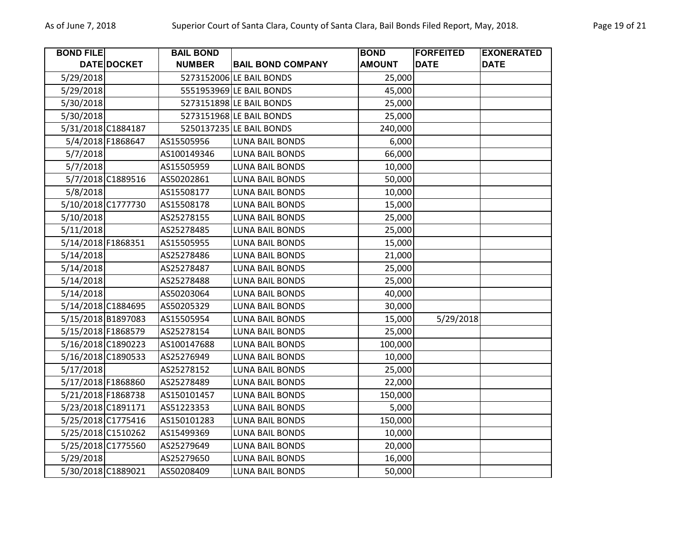| <b>BOND FILE</b>   |                    | <b>BAIL BOND</b> |                          | <b>BOND</b>   | <b>FORFEITED</b> | <b>EXONERATED</b> |
|--------------------|--------------------|------------------|--------------------------|---------------|------------------|-------------------|
|                    | DATE DOCKET        | <b>NUMBER</b>    | <b>BAIL BOND COMPANY</b> | <b>AMOUNT</b> | <b>DATE</b>      | <b>DATE</b>       |
| 5/29/2018          |                    |                  | 5273152006 LE BAIL BONDS | 25,000        |                  |                   |
| 5/29/2018          |                    |                  | 5551953969 LE BAIL BONDS | 45,000        |                  |                   |
| 5/30/2018          |                    |                  | 5273151898 LE BAIL BONDS | 25,000        |                  |                   |
| 5/30/2018          |                    |                  | 5273151968 LE BAIL BONDS | 25,000        |                  |                   |
|                    | 5/31/2018 C1884187 |                  | 5250137235 LE BAIL BONDS | 240,000       |                  |                   |
|                    | 5/4/2018 F1868647  | AS15505956       | <b>LUNA BAIL BONDS</b>   | 6,000         |                  |                   |
| 5/7/2018           |                    | AS100149346      | <b>LUNA BAIL BONDS</b>   | 66,000        |                  |                   |
| 5/7/2018           |                    | AS15505959       | <b>LUNA BAIL BONDS</b>   | 10,000        |                  |                   |
|                    | 5/7/2018 C1889516  | AS50202861       | LUNA BAIL BONDS          | 50,000        |                  |                   |
| 5/8/2018           |                    | AS15508177       | <b>LUNA BAIL BONDS</b>   | 10,000        |                  |                   |
|                    | 5/10/2018 C1777730 | AS15508178       | <b>LUNA BAIL BONDS</b>   | 15,000        |                  |                   |
| 5/10/2018          |                    | AS25278155       | LUNA BAIL BONDS          | 25,000        |                  |                   |
| 5/11/2018          |                    | AS25278485       | <b>LUNA BAIL BONDS</b>   | 25,000        |                  |                   |
| 5/14/2018 F1868351 |                    | AS15505955       | <b>LUNA BAIL BONDS</b>   | 15,000        |                  |                   |
| 5/14/2018          |                    | AS25278486       | <b>LUNA BAIL BONDS</b>   | 21,000        |                  |                   |
| 5/14/2018          |                    | AS25278487       | <b>LUNA BAIL BONDS</b>   | 25,000        |                  |                   |
| 5/14/2018          |                    | AS25278488       | <b>LUNA BAIL BONDS</b>   | 25,000        |                  |                   |
| 5/14/2018          |                    | AS50203064       | <b>LUNA BAIL BONDS</b>   | 40,000        |                  |                   |
|                    | 5/14/2018 C1884695 | AS50205329       | <b>LUNA BAIL BONDS</b>   | 30,000        |                  |                   |
|                    | 5/15/2018 B1897083 | AS15505954       | <b>LUNA BAIL BONDS</b>   | 15,000        | 5/29/2018        |                   |
| 5/15/2018 F1868579 |                    | AS25278154       | <b>LUNA BAIL BONDS</b>   | 25,000        |                  |                   |
|                    | 5/16/2018 C1890223 | AS100147688      | LUNA BAIL BONDS          | 100,000       |                  |                   |
| 5/16/2018 C1890533 |                    | AS25276949       | <b>LUNA BAIL BONDS</b>   | 10,000        |                  |                   |
| 5/17/2018          |                    | AS25278152       | <b>LUNA BAIL BONDS</b>   | 25,000        |                  |                   |
| 5/17/2018 F1868860 |                    | AS25278489       | <b>LUNA BAIL BONDS</b>   | 22,000        |                  |                   |
| 5/21/2018 F1868738 |                    | AS150101457      | <b>LUNA BAIL BONDS</b>   | 150,000       |                  |                   |
|                    | 5/23/2018 C1891171 | AS51223353       | <b>LUNA BAIL BONDS</b>   | 5,000         |                  |                   |
|                    | 5/25/2018 C1775416 | AS150101283      | <b>LUNA BAIL BONDS</b>   | 150,000       |                  |                   |
|                    | 5/25/2018 C1510262 | AS15499369       | <b>LUNA BAIL BONDS</b>   | 10,000        |                  |                   |
|                    | 5/25/2018 C1775560 | AS25279649       | LUNA BAIL BONDS          | 20,000        |                  |                   |
| 5/29/2018          |                    | AS25279650       | <b>LUNA BAIL BONDS</b>   | 16,000        |                  |                   |
| 5/30/2018 C1889021 |                    | AS50208409       | <b>LUNA BAIL BONDS</b>   | 50,000        |                  |                   |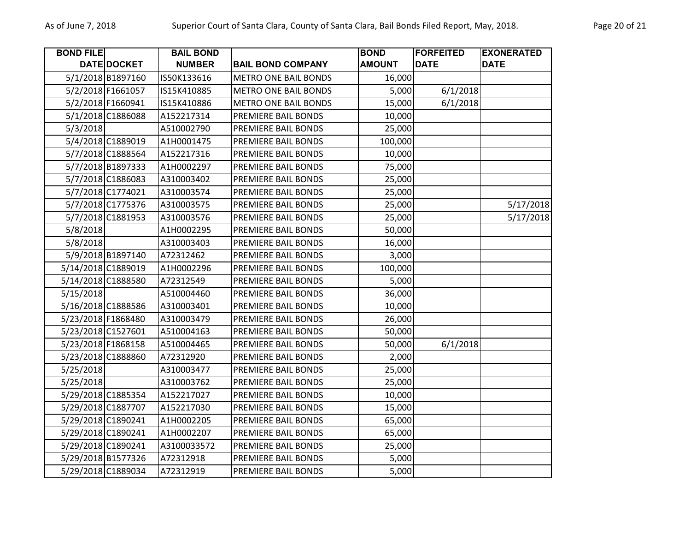| <b>BOND FILE</b> |                    | <b>BAIL BOND</b> |                             | <b>BOND</b>   | <b>FORFEITED</b> | <b>EXONERATED</b> |
|------------------|--------------------|------------------|-----------------------------|---------------|------------------|-------------------|
|                  | DATE DOCKET        | <b>NUMBER</b>    | <b>BAIL BOND COMPANY</b>    | <b>AMOUNT</b> | <b>DATE</b>      | <b>DATE</b>       |
|                  | 5/1/2018 B1897160  | IS50K133616      | <b>METRO ONE BAIL BONDS</b> | 16,000        |                  |                   |
|                  | 5/2/2018 F1661057  | IS15K410885      | <b>METRO ONE BAIL BONDS</b> | 5,000         | 6/1/2018         |                   |
|                  | 5/2/2018 F1660941  | IS15K410886      | <b>METRO ONE BAIL BONDS</b> | 15,000        | 6/1/2018         |                   |
|                  | 5/1/2018 C1886088  | A152217314       | PREMIERE BAIL BONDS         | 10,000        |                  |                   |
| 5/3/2018         |                    | A510002790       | PREMIERE BAIL BONDS         | 25,000        |                  |                   |
|                  | 5/4/2018 C1889019  | A1H0001475       | PREMIERE BAIL BONDS         | 100,000       |                  |                   |
|                  | 5/7/2018 C1888564  | A152217316       | PREMIERE BAIL BONDS         | 10,000        |                  |                   |
|                  | 5/7/2018 B1897333  | A1H0002297       | PREMIERE BAIL BONDS         | 75,000        |                  |                   |
|                  | 5/7/2018 C1886083  | A310003402       | PREMIERE BAIL BONDS         | 25,000        |                  |                   |
|                  | 5/7/2018 C1774021  | A310003574       | PREMIERE BAIL BONDS         | 25,000        |                  |                   |
|                  | 5/7/2018 C1775376  | A310003575       | PREMIERE BAIL BONDS         | 25,000        |                  | 5/17/2018         |
|                  | 5/7/2018 C1881953  | A310003576       | PREMIERE BAIL BONDS         | 25,000        |                  | 5/17/2018         |
| 5/8/2018         |                    | A1H0002295       | PREMIERE BAIL BONDS         | 50,000        |                  |                   |
| 5/8/2018         |                    | A310003403       | PREMIERE BAIL BONDS         | 16,000        |                  |                   |
|                  | 5/9/2018 B1897140  | A72312462        | PREMIERE BAIL BONDS         | 3,000         |                  |                   |
|                  | 5/14/2018 C1889019 | A1H0002296       | PREMIERE BAIL BONDS         | 100,000       |                  |                   |
|                  | 5/14/2018 C1888580 | A72312549        | PREMIERE BAIL BONDS         | 5,000         |                  |                   |
| 5/15/2018        |                    | A510004460       | PREMIERE BAIL BONDS         | 36,000        |                  |                   |
|                  | 5/16/2018 C1888586 | A310003401       | PREMIERE BAIL BONDS         | 10,000        |                  |                   |
|                  | 5/23/2018 F1868480 | A310003479       | PREMIERE BAIL BONDS         | 26,000        |                  |                   |
|                  | 5/23/2018 C1527601 | A510004163       | PREMIERE BAIL BONDS         | 50,000        |                  |                   |
|                  | 5/23/2018 F1868158 | A510004465       | PREMIERE BAIL BONDS         | 50,000        | 6/1/2018         |                   |
|                  | 5/23/2018 C1888860 | A72312920        | PREMIERE BAIL BONDS         | 2,000         |                  |                   |
| 5/25/2018        |                    | A310003477       | PREMIERE BAIL BONDS         | 25,000        |                  |                   |
| 5/25/2018        |                    | A310003762       | PREMIERE BAIL BONDS         | 25,000        |                  |                   |
|                  | 5/29/2018 C1885354 | A152217027       | PREMIERE BAIL BONDS         | 10,000        |                  |                   |
|                  | 5/29/2018 C1887707 | A152217030       | PREMIERE BAIL BONDS         | 15,000        |                  |                   |
|                  | 5/29/2018 C1890241 | A1H0002205       | PREMIERE BAIL BONDS         | 65,000        |                  |                   |
|                  | 5/29/2018 C1890241 | A1H0002207       | PREMIERE BAIL BONDS         | 65,000        |                  |                   |
|                  | 5/29/2018 C1890241 | A3100033572      | PREMIERE BAIL BONDS         | 25,000        |                  |                   |
|                  | 5/29/2018 B1577326 | A72312918        | PREMIERE BAIL BONDS         | 5,000         |                  |                   |
|                  | 5/29/2018 C1889034 | A72312919        | PREMIERE BAIL BONDS         | 5,000         |                  |                   |